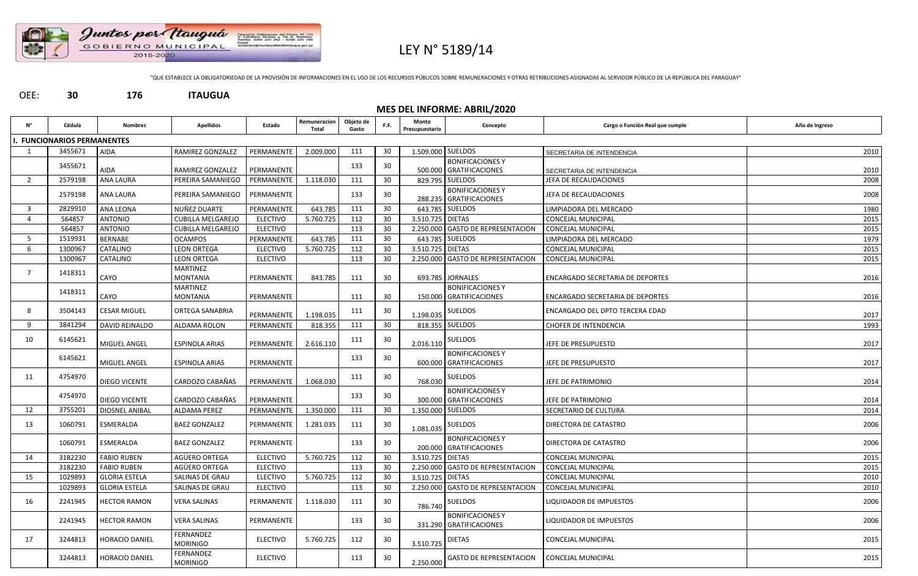

# LEY N° 5189/14

"QUE ESTABLECE LA OBLIGATORIEDAD DE LA PROVISIÓN DE INFORMACIONES EN EL USO DE LOS RECURSOS PÚBLICOS SOBRE REMUNERACIONES Y OTRAS RETRIBUCIONES ASIGNADAS AL SERVIDOR PÚBLICO DE LA REPÚBLICA DEL PARAGUAY"

### OEE: **30 176 ITAUGUA**

## **MES DEL INFORME: ABRIL/2020**

| N° | Cédula                          | <b>Nombres</b>        | <b>Apellidos</b>                   | Estado          | Remuneracion<br><b>Total</b> | Objeto de<br>Gasto | F.F. | Monto<br>Presupuestario | Concepto                                          | Cargo o Función Real que cumple         | Año de Ingreso |
|----|---------------------------------|-----------------------|------------------------------------|-----------------|------------------------------|--------------------|------|-------------------------|---------------------------------------------------|-----------------------------------------|----------------|
|    | <b>FUNCIONARIOS PERMANENTES</b> |                       |                                    |                 |                              |                    |      |                         |                                                   |                                         |                |
|    | 3455671                         | AIDA                  | RAMIREZ GONZALEZ                   | PERMANENTE      | 2.009.000                    | 111                | 30   | 1.509.000 SUELDOS       |                                                   | SECRETARIA DE INTENDENCIA               | 2010           |
|    | 3455671                         | AIDA                  | RAMIREZ GONZALEZ                   | PERMANENTE      |                              | 133                | 30   |                         | <b>BONIFICACIONESY</b><br>500.000 GRATIFICACIONES | SECRETARIA DE INTENDENCIA               | 2010           |
| 2  | 2579198                         | ANA LAURA             | PEREIRA SAMANIEGO                  | PERMANENTE      | 1.118.030                    | 111                | 30   |                         | 829.795 SUELDOS                                   | JEFA DE RECAUDACIONES                   | 2008           |
|    | 2579198                         | <b>ANA LAURA</b>      | PEREIRA SAMANIEGO                  | PERMANENTE      |                              | 133                | 30   |                         | <b>BONIFICACIONESY</b><br>288.235 GRATIFICACIONES | JEFA DE RECAUDACIONES                   | 2008           |
| 3  | 2829910                         | <b>ANA LEONA</b>      | NUÑEZ DUARTE                       | PERMANENTE      | 643.785                      | 111                | 30   |                         | 643.785 SUELDOS                                   | LIMPIADORA DEL MERCADO                  | 1980           |
|    | 564857                          | <b>ANTONIO</b>        | <b>CUBILLA MELGAREJO</b>           | <b>ELECTIVO</b> | 5.760.725                    | 112                | 30   | 3.510.725 DIETAS        |                                                   | CONCEJAL MUNICIPAL                      | 2015           |
|    | 564857                          | <b>ANTONIO</b>        | <b>CUBILLA MELGAREJO</b>           | <b>ELECTIVO</b> |                              | 113                | 30   |                         | 2.250.000 GASTO DE REPRESENTACION                 | CONCEJAL MUNICIPAL                      | 2015           |
|    | 1519931                         | <b>BERNABE</b>        | <b>OCAMPOS</b>                     | PERMANENTE      | 643.785                      | 111                | 30   |                         | 643.785 SUELDOS                                   | LIMPIADORA DEL MERCADO                  | 1979           |
|    | 1300967                         | <b>CATALINO</b>       | <b>LEON ORTEGA</b>                 | <b>ELECTIVO</b> | 5.760.725                    | 112                | 30   | 3.510.725 DIETAS        |                                                   | CONCEJAL MUNICIPAL                      | 2015           |
|    | 1300967                         | CATALINO              | <b>LEON ORTEGA</b>                 | <b>ELECTIVO</b> |                              | 113                | 30   |                         | 2.250.000 GASTO DE REPRESENTACION                 | <b>CONCEJAL MUNICIPAL</b>               | 2015           |
|    | 1418311                         |                       | <b>MARTINEZ</b>                    |                 |                              |                    |      |                         |                                                   |                                         |                |
|    |                                 | CAYO                  | <b>MONTANIA</b>                    | PERMANENTE      | 843.785                      | 111                | 30   |                         | 693.785 JORNALES                                  | <b>ENCARGADO SECRETARIA DE DEPORTES</b> | 2016           |
|    | 1418311                         | CAYO                  | <b>MARTINEZ</b><br><b>MONTANIA</b> | PERMANENTE      |                              | 111                | 30   |                         | <b>BONIFICACIONESY</b><br>150.000 GRATIFICACIONES | ENCARGADO SECRETARIA DE DEPORTES        | 2016           |
| 8  | 3504143                         | <b>CESAR MIGUEL</b>   | <b>ORTEGA SANABRIA</b>             | PERMANENTE      | 1.198.035                    | 111                | 30   | 1.198.035               | <b>SUELDOS</b>                                    | ENCARGADO DEL DPTO TERCERA EDAD         | 2017           |
| 9  | 3841294                         | DAVID REINALDO        | ALDAMA ROLON                       | PERMANENTE      | 818.355                      | 111                | 30   |                         | 818.355 SUELDOS                                   | <b>CHOFER DE INTENDENCIA</b>            | 1993           |
| 10 | 6145621                         | MIGUEL ANGEL          | <b>ESPINOLA ARIAS</b>              | PERMANENTE      | 2.616.110                    | 111                | 30   | 2.016.110               | <b>SUELDOS</b>                                    | JEFE DE PRESUPUESTO                     | 2017           |
|    | 6145621                         | MIGUEL ANGEL          | <b>ESPINOLA ARIAS</b>              | PERMANENTE      |                              | 133                | 30   |                         | <b>BONIFICACIONESY</b><br>600.000 GRATIFICACIONES | JEFE DE PRESUPUESTO                     | 2017           |
| 11 | 4754970                         | DIEGO VICENTE         | CARDOZO CABAÑAS                    | PERMANENTE      | 1.068.030                    | 111                | 30   | 768.030                 | SUELDOS                                           | JEFE DE PATRIMONIO                      | 2014           |
|    | 4754970                         | <b>DIEGO VICENTE</b>  | CARDOZO CABAÑAS                    | PERMANENTE      |                              | 133                | 30   |                         | <b>BONIFICACIONESY</b><br>300.000 GRATIFICACIONES | JEFE DE PATRIMONIO                      | 2014           |
| 12 | 3755201                         | DIOSNEL ANIBAL        | ALDAMA PEREZ                       | PERMANENTE      | 1.350.000                    | 111                | 30   | 1.350.000   SUELDOS     |                                                   | SECRETARIO DE CULTURA                   | 2014           |
| 13 | 1060791                         | <b>ESMERALDA</b>      | <b>BAEZ GONZALEZ</b>               | PERMANENTE      | 1.281.035                    | 111                | 30   | 1.081.035               | <b>SUELDOS</b>                                    | DIRECTORA DE CATASTRO                   | 2006           |
|    | 1060791                         | ESMERALDA             | <b>BAEZ GONZALEZ</b>               | PERMANENTE      |                              | 133                | 30   |                         | <b>BONIFICACIONESY</b><br>200.000 GRATIFICACIONES | DIRECTORA DE CATASTRO                   | 2006           |
| 14 | 3182230                         | <b>FABIO RUBEN</b>    | AGÜERO ORTEGA                      | <b>ELECTIVO</b> | 5.760.725                    | 112                | 30   | 3.510.725 DIETAS        |                                                   | <b>CONCEJAL MUNICIPAL</b>               | 2015           |
|    | 3182230                         | <b>FABIO RUBEN</b>    | AGÜERO ORTEGA                      | <b>ELECTIVO</b> |                              | 113                | 30   |                         | 2.250.000 GASTO DE REPRESENTACION                 | <b>CONCEJAL MUNICIPAL</b>               | 2015           |
| 15 | 1029893                         | <b>GLORIA ESTELA</b>  | SALINAS DE GRAU                    | <b>ELECTIVO</b> | 5.760.725                    | 112                | 30   | 3.510.725 DIETAS        |                                                   | CONCEJAL MUNICIPAL                      | 2010           |
|    | 1029893                         | <b>GLORIA ESTELA</b>  | SALINAS DE GRAU                    | <b>ELECTIVO</b> |                              | 113                | 30   |                         | 2.250.000 GASTO DE REPRESENTACION                 | <b>CONCEJAL MUNICIPAL</b>               | 2010           |
| 16 | 2241945                         | <b>HECTOR RAMON</b>   | <b>VERA SALINAS</b>                | PERMANENTE      | 1.118.030                    | 111                | 30   | 786.740                 | <b>SUELDOS</b>                                    | LIQUIDADOR DE IMPUESTOS                 | 2006           |
|    | 2241945                         | <b>HECTOR RAMON</b>   | <b>VERA SALINAS</b>                | PERMANENTE      |                              | 133                | 30   |                         | <b>BONIFICACIONESY</b><br>331.290 GRATIFICACIONES | LIQUIDADOR DE IMPUESTOS                 | 2006           |
| 17 | 3244813                         | <b>HORACIO DANIEL</b> | FERNANDEZ<br><b>MORINIGO</b>       | <b>ELECTIVO</b> | 5.760.725                    | 112                | 30   | 3.510.725               | <b>DIETAS</b>                                     | <b>CONCEJAL MUNICIPAL</b>               | 2015           |
|    | 3244813                         | HORACIO DANIEL        | FERNANDEZ<br><b>MORINIGO</b>       | <b>ELECTIVO</b> |                              | 113                | 30   | 2.250.000               | <b>GASTO DE REPRESENTACION</b>                    | CONCEJAL MUNICIPAL                      | 2015           |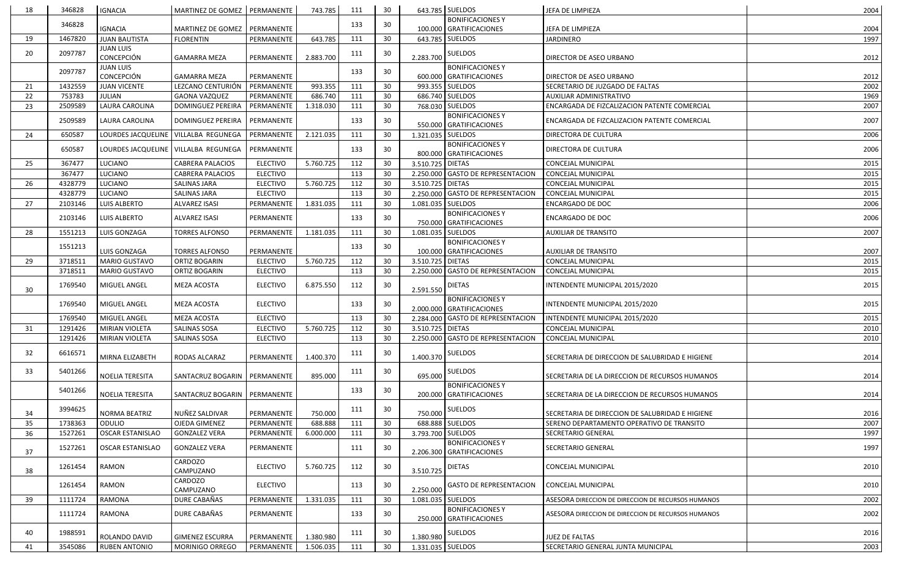| 18       | 346828  | <b>IGNACIA</b>                         | MARTINEZ DE GOMEZ   PERMANENTE           |                          | 743.785            | 111        | 30                    |                  | 643.785 SUELDOS                                      | JEFA DE LIMPIEZA                                           | 2004         |
|----------|---------|----------------------------------------|------------------------------------------|--------------------------|--------------------|------------|-----------------------|------------------|------------------------------------------------------|------------------------------------------------------------|--------------|
|          | 346828  |                                        |                                          |                          |                    | 133        | 30                    |                  | <b>BONIFICACIONESY</b>                               |                                                            |              |
|          |         | <b>IGNACIA</b>                         | MARTINEZ DE GOMEZ   PERMANENTE           |                          |                    |            |                       |                  | 100.000 GRATIFICACIONES                              | JEFA DE LIMPIEZA                                           | 2004         |
| 19       | 1467820 | <b>JUAN BAUTISTA</b>                   | <b>FLORENTIN</b>                         | PERMANENTE               | 643.785            | 111        | 30 <sup>°</sup>       |                  | 643.785 SUELDOS                                      | <b>JARDINERO</b>                                           | 1997         |
| 20       | 2097787 | <b>JUAN LUIS</b><br>CONCEPCIÓN         | <b>GAMARRA MEZA</b>                      | PERMANENTE               | 2.883.700          | 111        | 30                    | 2.283.700        | SUELDOS                                              | DIRECTOR DE ASEO URBANO                                    | 2012         |
|          | 2097787 | <b>JUAN LUIS</b><br><b>CONCEPCIÓN</b>  |                                          |                          |                    | 133        | 30                    |                  | <b>BONIFICACIONES Y</b><br>600.000 GRATIFICACIONES   |                                                            |              |
|          | 1432559 |                                        | <b>GAMARRA MEZA</b><br>LEZCANO CENTURIÓN | PERMANENTE               |                    | 111        | 30                    |                  | 993.355 SUELDOS                                      | DIRECTOR DE ASEO URBANO                                    | 2012         |
| 21<br>22 | 753783  | <b>JUAN VICENTE</b><br><b>JULIAN</b>   | <b>GAONA VAZQUEZ</b>                     | PERMANENTE<br>PERMANENTE | 993.355<br>686.740 | 111        |                       |                  | 686.740 SUELDOS                                      | SECRETARIO DE JUZGADO DE FALTAS<br>AUXILIAR ADMINISTRATIVO | 2002         |
|          | 2509589 | LAURA CAROLINA                         |                                          | PERMANENTE               | 1.318.030          |            | 30 <sup>°</sup><br>30 |                  | 768.030 SUELDOS                                      | ENCARGADA DE FIZCALIZACION PATENTE COMERCIAL               | 1969<br>2007 |
| 23       | 2509589 | LAURA CAROLINA                         | DOMINGUEZ PEREIRA<br>DOMINGUEZ PEREIRA   | PERMANENTE               |                    | 111<br>133 | 30                    |                  | <b>BONIFICACIONESY</b><br>550.000 GRATIFICACIONES    | ENCARGADA DE FIZCALIZACION PATENTE COMERCIAL               | 2007         |
| 24       | 650587  | LOURDES JACQUELINE   VILLALBA REGUNEGA |                                          | PERMANENTE               | 2.121.035          | 111        | 30                    |                  | 1.321.035 SUELDOS                                    | DIRECTORA DE CULTURA                                       | 2006         |
|          | 650587  | LOURDES JACQUELINE   VILLALBA REGUNEGA |                                          | PERMANENTE               |                    | 133        | 30                    |                  | <b>BONIFICACIONES Y</b><br>800.000 GRATIFICACIONES   | DIRECTORA DE CULTURA                                       | 2006         |
| 25       | 367477  | LUCIANO                                | <b>CABRERA PALACIOS</b>                  | <b>ELECTIVO</b>          | 5.760.725          | 112        | 30                    | 3.510.725 DIETAS |                                                      | CONCEJAL MUNICIPAL                                         | 2015         |
|          | 367477  | LUCIANO                                | <b>CABRERA PALACIOS</b>                  | <b>ELECTIVO</b>          |                    | 113        | 30                    |                  | 2.250.000 GASTO DE REPRESENTACION                    | CONCEJAL MUNICIPAL                                         | 2015         |
| 26       | 4328779 | LUCIANO                                | SALINAS JARA                             | <b>ELECTIVO</b>          | 5.760.725          | 112        | 30                    | 3.510.725 DIETAS |                                                      | CONCEJAL MUNICIPAL                                         | 2015         |
|          | 4328779 | LUCIANO                                | SALINAS JARA                             | <b>ELECTIVO</b>          |                    | 113        | 30                    |                  | 2.250.000 GASTO DE REPRESENTACION                    | CONCEJAL MUNICIPAL                                         | 2015         |
| 27       | 2103146 | <b>LUIS ALBERTO</b>                    | <b>ALVAREZ ISASI</b>                     | PERMANENTE               | 1.831.035          | 111        | 30                    |                  | 1.081.035 SUELDOS                                    | <b>ENCARGADO DE DOC</b>                                    | 2006         |
|          | 2103146 | <b>LUIS ALBERTO</b>                    | <b>ALVAREZ ISASI</b>                     | PERMANENTE               |                    | 133        | 30                    |                  | <b>BONIFICACIONESY</b><br>750.000 GRATIFICACIONES    | <b>ENCARGADO DE DOC</b>                                    | 2006         |
| 28       | 1551213 | LUIS GONZAGA                           | <b>TORRES ALFONSO</b>                    | PERMANENTE               | 1.181.035          | 111        | 30 <sup>°</sup>       |                  | 1.081.035 SUELDOS                                    | <b>AUXILIAR DE TRANSITO</b>                                | 2007         |
|          |         |                                        |                                          |                          |                    |            |                       |                  | <b>BONIFICACIONESY</b>                               |                                                            |              |
|          | 1551213 | LUIS GONZAGA                           | <b>TORRES ALFONSO</b>                    | PERMANENTE               |                    | 133        | 30                    |                  | 100.000 GRATIFICACIONES                              | <b>AUXILIAR DE TRANSITO</b>                                | 2007         |
| 29       | 3718511 | MARIO GUSTAVO                          | ORTIZ BOGARIN                            | <b>ELECTIVO</b>          | 5.760.725          | 112        | 30                    | 3.510.725 DIETAS |                                                      | CONCEJAL MUNICIPAL                                         | 2015         |
|          | 3718511 | <b>MARIO GUSTAVO</b>                   | ORTIZ BOGARIN                            | <b>ELECTIVO</b>          |                    | 113        | 30                    |                  | 2.250.000 GASTO DE REPRESENTACION                    | <b>CONCEJAL MUNICIPAL</b>                                  | 2015         |
| 30       | 1769540 | MIGUEL ANGEL                           | MEZA ACOSTA                              | <b>ELECTIVO</b>          | 6.875.550          | 112        | 30 <sub>o</sub>       | 2.591.550        | <b>DIETAS</b>                                        | INTENDENTE MUNICIPAL 2015/2020                             | 2015         |
|          | 1769540 | MIGUEL ANGEL                           | <b>MEZA ACOSTA</b>                       | <b>ELECTIVO</b>          |                    | 133        | 30                    |                  | <b>BONIFICACIONES Y</b><br>2.000.000 GRATIFICACIONES | INTENDENTE MUNICIPAL 2015/2020                             | 2015         |
|          | 1769540 | MIGUEL ANGEL                           | <b>MEZA ACOSTA</b>                       | <b>ELECTIVO</b>          |                    | 113        | 30                    |                  | 2.284.000 GASTO DE REPRESENTACION                    | INTENDENTE MUNICIPAL 2015/2020                             | 2015         |
| 31       | 1291426 | MIRIAN VIOLETA                         | <b>SALINAS SOSA</b>                      | <b>ELECTIVO</b>          | 5.760.725          | 112        | 30                    | 3.510.725 DIETAS |                                                      | <b>CONCEJAL MUNICIPAL</b>                                  | 2010         |
|          | 1291426 | MIRIAN VIOLETA                         | <b>SALINAS SOSA</b>                      | <b>ELECTIVO</b>          |                    | 113        | 30 <sub>o</sub>       |                  | 2.250.000 GASTO DE REPRESENTACION                    | <b>CONCEJAL MUNICIPAL</b>                                  | 2010         |
| 32       | 6616571 | MIRNA ELIZABETH                        | RODAS ALCARAZ                            | PERMANENTE               | 1.400.370          | 111        | 30                    | 1.400.370        | <b>SUELDOS</b>                                       | SECRETARIA DE DIRECCION DE SALUBRIDAD E HIGIENE            | 2014         |
| 33       | 5401266 | NOELIA TERESITA                        | <b>SANTACRUZ BOGARIN</b>                 | PERMANENTE               | 895.000            | 111        | 30                    | 695.000          | SUELDOS                                              | SECRETARIA DE LA DIRECCION DE RECURSOS HUMANOS             | 2014         |
|          | 5401266 |                                        |                                          |                          |                    | 133        | 30                    |                  | <b>BONIFICACIONES Y</b>                              |                                                            |              |
|          |         | NOELIA TERESITA                        | <b>SANTACRUZ BOGARIN</b>                 | PERMANENTE               |                    |            |                       |                  | 200.000 GRATIFICACIONES                              | SECRETARIA DE LA DIRECCION DE RECURSOS HUMANOS             | 2014         |
| 34       | 3994625 | NORMA BEATRIZ                          | NUÑEZ SALDIVAR                           | PERMANENTE               | 750.000            | 111        | 30                    | 750.000          | SUELDOS                                              | SECRETARIA DE DIRECCION DE SALUBRIDAD E HIGIENE            | 2016         |
| 35       | 1738363 | ODULIO                                 | <b>OJEDA GIMENEZ</b>                     | PERMANENTE               | 688.888            | 111        | 30                    |                  | 688.888 SUELDOS                                      | SERENO DEPARTAMENTO OPERATIVO DE TRANSITO                  | 2007         |
| 36       | 1527261 | <b>OSCAR ESTANISLAO</b>                | <b>GONZALEZ VERA</b>                     | PERMANENTE               | 6.000.000          | 111        | 30                    |                  | 3.793.700 SUELDOS                                    | SECRETARIO GENERAL                                         | 1997         |
| 37       | 1527261 | <b>OSCAR ESTANISLAO</b>                | <b>GONZALEZ VERA</b>                     | PERMANENTE               |                    | 111        | 30                    |                  | <b>BONIFICACIONES Y</b><br>2.206.300 GRATIFICACIONES | SECRETARIO GENERAL                                         | 1997         |
| 38       | 1261454 | <b>RAMON</b>                           | CARDOZO<br>CAMPUZANO                     | <b>ELECTIVO</b>          | 5.760.725          | 112        | 30                    | 3.510.725        | <b>DIETAS</b>                                        | <b>CONCEJAL MUNICIPAL</b>                                  | 2010         |
|          | 1261454 | RAMON                                  | CARDOZO<br>CAMPUZANO                     | <b>ELECTIVO</b>          |                    | 113        | 30                    | 2.250.000        | <b>GASTO DE REPRESENTACION</b>                       | <b>CONCEJAL MUNICIPAL</b>                                  | 2010         |
| 39       | 1111724 | <b>RAMONA</b>                          | DURE CABAÑAS                             | PERMANENTE               | 1.331.035          | 111        | 30                    |                  | 1.081.035 SUELDOS                                    | ASESORA DIRECCION DE DIRECCION DE RECURSOS HUMANOS         | 2002         |
|          | 1111724 | RAMONA                                 | DURE CABAÑAS                             | PERMANENTE               |                    | 133        | 30                    |                  | <b>BONIFICACIONESY</b><br>250.000 GRATIFICACIONES    | ASESORA DIRECCION DE DIRECCION DE RECURSOS HUMANOS         | 2002         |
| 40       | 1988591 | ROLANDO DAVID                          | <b>GIMENEZ ESCURRA</b>                   | PERMANENTE               | 1.380.980          | 111        | 30                    | 1.380.980        | <b>SUELDOS</b>                                       | <b>JUEZ DE FALTAS</b>                                      | 2016         |
| 41       | 3545086 | <b>RUBEN ANTONIO</b>                   | MORINIGO ORREGO                          | PERMANENTE               | 1.506.035          | 111        | 30 <sup>°</sup>       |                  | 1.331.035 SUELDOS                                    | SECRETARIO GENERAL JUNTA MUNICIPAL                         | 2003         |
|          |         |                                        |                                          |                          |                    |            |                       |                  |                                                      |                                                            |              |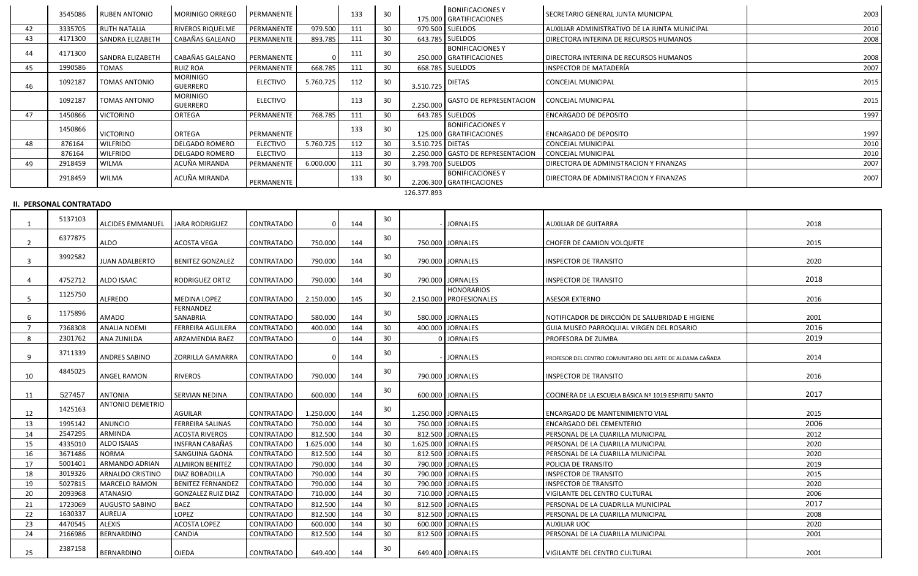|                | 3545086                        | <b>RUBEN ANTONIO</b>    | <b>MORINIGO ORREGO</b>             | PERMANENTE        |           | 133 | 30 |                    | <b>BONIFICACIONESY</b><br>175.000 GRATIFICACIONES   | SECRETARIO GENERAL JUNTA MUNICIPAL                        | 2003 |
|----------------|--------------------------------|-------------------------|------------------------------------|-------------------|-----------|-----|----|--------------------|-----------------------------------------------------|-----------------------------------------------------------|------|
| 42             | 3335705                        | <b>RUTH NATALIA</b>     | RIVEROS RIQUELME                   | PERMANENTE        | 979.500   | 111 | 30 |                    | 979.500 SUELDOS                                     | AUXILIAR ADMINISTRATIVO DE LA JUNTA MUNICIPAL             | 2010 |
| 43             | 4171300                        | <b>SANDRA ELIZABETH</b> | CABAÑAS GALEANO                    | PERMANENTE        | 893.785   | 111 | 30 |                    | 643.785 SUELDOS                                     | DIRECTORA INTERINA DE RECURSOS HUMANOS                    | 2008 |
| 44             | 4171300                        | SANDRA ELIZABETH        | CABAÑAS GALEANO                    | PERMANENTE        |           | 111 | 30 |                    | <b>BONIFICACIONESY</b><br>250.000 GRATIFICACIONES   | DIRECTORA INTERINA DE RECURSOS HUMANOS                    | 2008 |
| 45             | 1990586                        | <b>TOMAS</b>            | <b>RUIZ ROA</b>                    | PERMANENTE        | 668.785   | 111 | 30 |                    | 668.785 SUELDOS                                     | INSPECTOR DE MATADERÍA                                    | 2007 |
| 46             | 1092187                        | <b>TOMAS ANTONIO</b>    | <b>MORINIGO</b><br><b>GUERRERO</b> | <b>ELECTIVO</b>   | 5.760.725 | 112 | 30 | 3.510.725          | <b>DIETAS</b>                                       | CONCEJAL MUNICIPAL                                        | 2015 |
|                | 1092187                        | <b>TOMAS ANTONIO</b>    | <b>MORINIGO</b><br><b>GUERRERO</b> | <b>ELECTIVO</b>   |           | 113 | 30 | 2.250.000          | <b>GASTO DE REPRESENTACION</b>                      | <b>CONCEJAL MUNICIPAL</b>                                 | 2015 |
| 47             | 1450866                        | <b>VICTORINO</b>        | ORTEGA                             | PERMANENTE        | 768.785   | 111 | 30 |                    | 643.785 SUELDOS                                     | <b>ENCARGADO DE DEPOSITO</b>                              | 1997 |
|                |                                |                         |                                    |                   |           |     |    |                    | <b>BONIFICACIONESY</b>                              |                                                           |      |
|                | 1450866                        | <b>VICTORINO</b>        | ORTEGA                             | PERMANENTE        |           | 133 | 30 |                    | 125.000 GRATIFICACIONES                             | <b>ENCARGADO DE DEPOSITO</b>                              | 1997 |
| 48             | 876164                         | <b>WILFRIDO</b>         | DELGADO ROMERO                     | <b>ELECTIVO</b>   | 5.760.725 | 112 | 30 | 3.510.725   DIETAS |                                                     | CONCEJAL MUNICIPAL                                        | 2010 |
|                | 876164                         | <b>WILFRIDO</b>         | DELGADO ROMERO                     | <b>ELECTIVO</b>   |           | 113 | 30 |                    | 2.250.000 GASTO DE REPRESENTACION                   | <b>CONCEJAL MUNICIPAL</b>                                 | 2010 |
| 49             | 2918459                        | <b>WILMA</b>            | ACUÑA MIRANDA                      | PERMANENTE        | 6.000.000 | 111 | 30 | 3.793.700 SUELDOS  |                                                     | DIRECTORA DE ADMINISTRACION Y FINANZAS                    | 2007 |
|                | 2918459                        | <b>WILMA</b>            | ACUÑA MIRANDA                      | PERMANENTE        |           | 133 | 30 |                    | <b>BONIFICACIONESY</b><br>2.206.300 GRATIFICACIONES | DIRECTORA DE ADMINISTRACION Y FINANZAS                    | 2007 |
|                |                                |                         |                                    |                   |           |     |    | 126.377.893        |                                                     |                                                           |      |
|                | <b>II. PERSONAL CONTRATADO</b> |                         |                                    |                   |           |     |    |                    |                                                     |                                                           |      |
| $\mathbf{1}$   | 5137103                        | <b>ALCIDES EMMANUEL</b> | <b>JARA RODRIGUEZ</b>              | CONTRATADO        |           | 144 | 30 |                    | <b>JORNALES</b>                                     | AUXILIAR DE GUITARRA                                      | 2018 |
|                | 6377875                        |                         |                                    |                   |           |     | 30 |                    |                                                     |                                                           |      |
| 2              |                                | ALDO                    | <b>ACOSTA VEGA</b>                 | CONTRATADO        | 750.000   | 144 |    |                    | 750.000 JORNALES                                    | <b>CHOFER DE CAMION VOLQUETE</b>                          | 2015 |
|                | 3992582                        |                         |                                    |                   |           |     | 30 |                    |                                                     |                                                           |      |
| 3              |                                | <b>JUAN ADALBERTO</b>   | <b>BENITEZ GONZALEZ</b>            | CONTRATADO        | 790.000   | 144 |    |                    | 790.000 JORNALES                                    | <b>INSPECTOR DE TRANSITO</b>                              | 2020 |
| 4              | 4752712                        | ALDO ISAAC              | <b>RODRIGUEZ ORTIZ</b>             | CONTRATADO        | 790.000   | 144 | 30 |                    | 790.000 JORNALES                                    | <b>INSPECTOR DE TRANSITO</b>                              | 2018 |
| 5              | 1125750                        | <b>ALFREDO</b>          | <b>MEDINA LOPEZ</b>                | CONTRATADO        | 2.150.000 | 145 | 30 |                    | <b>HONORARIOS</b><br>2.150.000 PROFESIONALES        | <b>ASESOR EXTERNO</b>                                     | 2016 |
|                | 1175896                        |                         | FERNANDEZ                          |                   |           |     | 30 |                    |                                                     |                                                           |      |
| 6              |                                | AMADO                   | <b>SANABRIA</b>                    | CONTRATADO        | 580.000   | 144 |    |                    | 580.000 JORNALES                                    | NOTIFICADOR DE DIRCCIÓN DE SALUBRIDAD E HIGIENE           | 2001 |
| $\overline{7}$ | 7368308                        | <b>ANALIA NOEMI</b>     | FERREIRA AGUILERA                  | CONTRATADO        | 400.000   | 144 | 30 |                    | 400.000 JORNALES                                    | GUIA MUSEO PARROQUIAL VIRGEN DEL ROSARIO                  | 2016 |
| 8              | 2301762                        | <b>ANA ZUNILDA</b>      | ARZAMENDIA BAEZ                    | <b>CONTRATADO</b> | υı        | 144 | 30 |                    | 0 JORNALES                                          | PROFESORA DE ZUMBA                                        | 2019 |
| 9              | 3711339                        | <b>ANDRES SABINO</b>    | ZORRILLA GAMARRA                   | CONTRATADO        |           | 144 | 30 |                    | <b>JORNALES</b>                                     | PROFESOR DEL CENTRO COMUNITARIO DEL ARTE DE ALDAMA CAÑADA | 2014 |
| 10             | 4845025                        | ANGEL RAMON             | <b>RIVEROS</b>                     | CONTRATADO        | 790.000   | 144 | 30 |                    | 790.000 JORNALES                                    | INSPECTOR DE TRANSITO                                     | 2016 |
| 11             | 527457                         | ANTONIA                 | <b>SERVIAN NEDINA</b>              | CONTRATADO        | 600.000   | 144 | 30 |                    | 600.000 JORNALES                                    | COCINERA DE LA ESCUELA BÁSICA Nº 1019 ESPIRITU SANTO      | 2017 |
|                | 1425163                        | <b>ANTONIO DEMETRIO</b> |                                    |                   |           |     | 30 |                    |                                                     |                                                           |      |
| 12             |                                |                         | <b>AGUILAR</b>                     | CONTRATADO        | 1.250.000 | 144 |    |                    | 1.250.000 JORNALES                                  | ENCARGADO DE MANTENIMIENTO VIAL                           | 2015 |
| 13             | 1995142                        | ANUNCIO                 | <b>FERREIRA SALINAS</b>            | CONTRATADO        | 750.000   | 144 | 30 |                    | 750.000 JORNALES                                    | ENCARGADO DEL CEMENTERIO                                  | 2006 |
| 14             | 2547295                        | ARMINDA                 | <b>ACOSTA RIVEROS</b>              | CONTRATADO        | 812.500   | 144 | 30 |                    | 812.500 JORNALES                                    | PERSONAL DE LA CUARILLA MUNICIPAL                         | 2012 |
| 15             | 4335010                        | ALDO ISAIAS             | <b>INSFRAN CABAÑAS</b>             | CONTRATADO        | 1.625.000 | 144 | 30 |                    | 1.625.000 JORNALES                                  | PERSONAL DE LA CUARILLA MUNICIPAL                         | 2020 |
| 16             | 3671486                        | <b>NORMA</b>            | SANGUINA GAONA                     | CONTRATADO        | 812.500   | 144 | 30 |                    | 812.500 JORNALES                                    | PERSONAL DE LA CUARILLA MUNICIPAL                         | 2020 |
| 17             | 5001401                        | ARMANDO ADRIAN          | <b>ALMIRON BENITEZ</b>             | CONTRATADO        | 790.000   | 144 | 30 |                    | 790.000 JORNALES                                    | POLICIA DE TRANSITO                                       | 2019 |
| 18             | 3019326                        | <b>ARNALDO CRISTINO</b> | DIAZ BOBADILLA                     | CONTRATADO        | 790.000   | 144 | 30 |                    | 790.000 JORNALES                                    | <b>INSPECTOR DE TRANSITO</b>                              | 2015 |
| 19             | 5027815                        | <b>MARCELO RAMON</b>    | <b>BENITEZ FERNANDEZ</b>           | CONTRATADO        | 790.000   | 144 | 30 |                    | 790.000 JORNALES                                    | <b>INSPECTOR DE TRANSITO</b>                              | 2020 |
| 20             | 2093968                        | <b>ATANASIO</b>         | <b>GONZALEZ RUIZ DIAZ</b>          | CONTRATADO        | 710.000   | 144 | 30 |                    | 710.000 JORNALES                                    | VIGILANTE DEL CENTRO CULTURAL                             | 2006 |
| 21             | 1723069                        | <b>AUGUSTO SABINO</b>   | <b>BAEZ</b>                        | CONTRATADO        | 812.500   | 144 | 30 |                    | 812.500 JORNALES                                    | PERSONAL DE LA CUADRILLA MUNICIPAL                        | 2017 |
| 22             | 1630337                        | AURELIA                 | <b>LOPEZ</b>                       | CONTRATADO        | 812.500   | 144 | 30 |                    | 812.500 JORNALES                                    | PERSONAL DE LA CUARILLA MUNICIPAL                         | 2008 |
| 23             | 4470545                        | ALEXIS                  | <b>ACOSTA LOPEZ</b>                | CONTRATADO        | 600.000   | 144 | 30 |                    | 600.000 JORNALES                                    | <b>AUXILIAR UOC</b>                                       | 2020 |
| 24             | 2166986                        | BERNARDINO              | <b>CANDIA</b>                      | CONTRATADO        | 812.500   | 144 | 30 |                    | 812.500 JORNALES                                    | PERSONAL DE LA CUARILLA MUNICIPAL                         | 2001 |
| 25             | 2387158                        | BERNARDINO              | OJEDA                              | CONTRATADO        | 649.400   | 144 | 30 |                    | 649.400 JORNALES                                    | VIGILANTE DEL CENTRO CULTURAL                             | 2001 |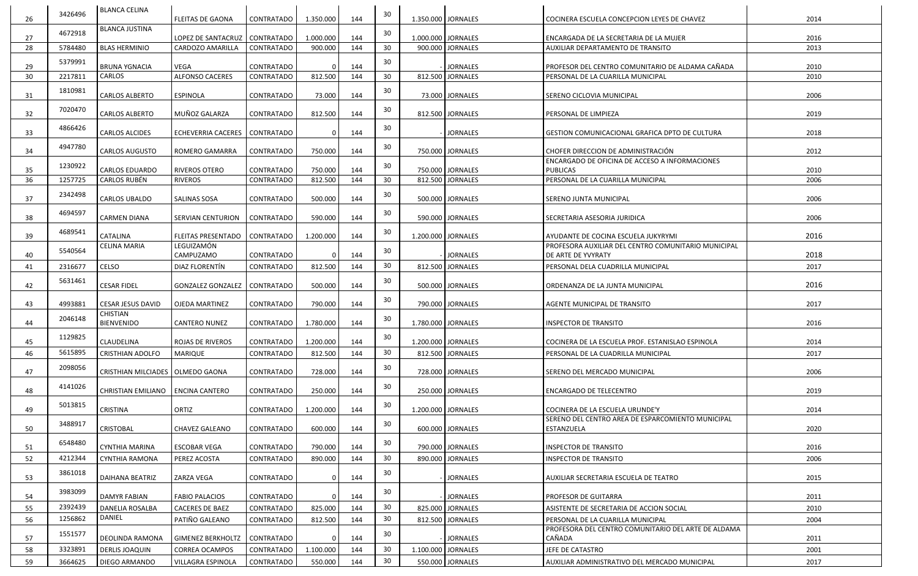|    |         | <b>BLANCA CELINA</b>                         |                                 |                   |           |     |                 |                    |                    |                                                                 |      |
|----|---------|----------------------------------------------|---------------------------------|-------------------|-----------|-----|-----------------|--------------------|--------------------|-----------------------------------------------------------------|------|
| 26 | 3426496 |                                              | <b>FLEITAS DE GAONA</b>         | CONTRATADO        | 1.350.000 | 144 | 30              | 1.350.000 JORNALES |                    | COCINERA ESCUELA CONCEPCION LEYES DE CHAVEZ                     | 2014 |
| 27 | 4672918 | <b>BLANCA JUSTINA</b>                        | LOPEZ DE SANTACRUZ   CONTRATADO |                   | 1.000.000 | 144 | 30              |                    | 1.000.000 JORNALES | ENCARGADA DE LA SECRETARIA DE LA MUJER                          | 2016 |
| 28 | 5784480 | <b>BLAS HERMINIO</b>                         | CARDOZO AMARILLA                | <b>CONTRATADO</b> | 900.000   | 144 | 30              |                    | 900.000 JORNALES   | AUXILIAR DEPARTAMENTO DE TRANSITO                               | 2013 |
|    | 5379991 |                                              |                                 |                   |           |     | 30              |                    |                    |                                                                 |      |
| 29 |         | <b>BRUNA YGNACIA</b>                         | <b>VEGA</b>                     | CONTRATADO        |           | 144 |                 |                    | <b>JORNALES</b>    | PROFESOR DEL CENTRO COMUNITARIO DE ALDAMA CAÑADA                | 2010 |
| 30 | 2217811 | <b>CARLOS</b>                                | ALFONSO CACERES                 | CONTRATADO        | 812.500   | 144 | 30              |                    | 812.500 JORNALES   | PERSONAL DE LA CUARILLA MUNICIPAL                               | 2010 |
| 31 | 1810981 | <b>CARLOS ALBERTO</b>                        | <b>ESPINOLA</b>                 | CONTRATADO        | 73.000    | 144 | 30              |                    | 73.000 JORNALES    | SERENO CICLOVIA MUNICIPAL                                       | 2006 |
| 32 | 7020470 | <b>CARLOS ALBERTO</b>                        | MUÑOZ GALARZA                   | CONTRATADO        | 812.500   | 144 | 30              |                    | 812.500 JORNALES   | PERSONAL DE LIMPIEZA                                            | 2019 |
| 33 | 4866426 | <b>CARLOS ALCIDES</b>                        | ECHEVERRIA CACERES   CONTRATADO |                   |           | 144 | 30              |                    | <b>JORNALES</b>    | <b>GESTION COMUNICACIONAL GRAFICA DPTO DE CULTURA</b>           | 2018 |
| 34 | 4947780 | <b>CARLOS AUGUSTO</b>                        | <b>ROMERO GAMARRA</b>           | CONTRATADO        | 750.000   | 144 | 30              |                    | 750.000 JORNALES   | CHOFER DIRECCION DE ADMINISTRACIÓN                              | 2012 |
|    | 1230922 |                                              |                                 |                   |           |     | 30              |                    |                    | ENCARGADO DE OFICINA DE ACCESO A INFORMACIONES                  |      |
| 35 |         | <b>CARLOS EDUARDO</b><br><b>CARLOS RUBÉN</b> | <b>RIVEROS OTERO</b>            | CONTRATADO        | 750.000   | 144 |                 |                    | 750.000 JORNALES   | <b>PUBLICAS</b>                                                 | 2010 |
| 36 | 1257725 |                                              | <b>RIVEROS</b>                  | <b>CONTRATADO</b> | 812.500   | 144 | 30              |                    | 812.500 JORNALES   | PERSONAL DE LA CUARILLA MUNICIPAL                               | 2006 |
| 37 | 2342498 | <b>CARLOS UBALDO</b>                         | <b>SALINAS SOSA</b>             | CONTRATADO        | 500.000   | 144 | 30              |                    | 500.000 JORNALES   | SERENO JUNTA MUNICIPAL                                          | 2006 |
| 38 | 4694597 | <b>CARMEN DIANA</b>                          | <b>SERVIAN CENTURION</b>        | CONTRATADO        | 590.000   | 144 | 30              |                    | 590.000 JORNALES   | SECRETARIA ASESORIA JURIDICA                                    | 2006 |
|    |         |                                              |                                 |                   |           |     |                 |                    |                    |                                                                 |      |
| 39 | 4689541 | <b>CATALINA</b>                              | FLEITAS PRESENTADO   CONTRATADO |                   | 1.200.000 | 144 | 30              | 1.200.000 JORNALES |                    | AYUDANTE DE COCINA ESCUELA JUKYRYMI                             | 2016 |
|    | 5540564 | <b>CELINA MARIA</b>                          | LEGUIZAMÓN                      |                   |           |     | 30              |                    |                    | PROFESORA AUXILIAR DEL CENTRO COMUNITARIO MUNICIPAL             |      |
| 40 |         |                                              | CAMPUZAMO                       | CONTRATADO        |           | 144 |                 |                    | <b>JORNALES</b>    | DE ARTE DE YVYRATY                                              | 2018 |
| 41 | 2316677 | <b>CELSO</b>                                 | DIAZ FLORENTÍN                  | CONTRATADO        | 812.500   | 144 | 30              |                    | 812.500 JORNALES   | PERSONAL DELA CUADRILLA MUNICIPAL                               | 2017 |
| 42 | 5631461 | <b>CESAR FIDEL</b>                           | GONZALEZ GONZALEZ   CONTRATADO  |                   | 500.000   | 144 | 30              |                    | 500.000 JORNALES   | ORDENANZA DE LA JUNTA MUNICIPAL                                 | 2016 |
| 43 | 4993881 | <b>CESAR JESUS DAVID</b>                     | OJEDA MARTINEZ                  | CONTRATADO        | 790.000   | 144 | 30              |                    | 790.000 JORNALES   | AGENTE MUNICIPAL DE TRANSITO                                    | 2017 |
| 44 | 2046148 | <b>CHISTIAN</b><br><b>BIENVENIDO</b>         | <b>CANTERO NUNEZ</b>            | CONTRATADO        | 1.780.000 | 144 | 30              | 1.780.000 JORNALES |                    | <b>INSPECTOR DE TRANSITO</b>                                    | 2016 |
| 45 | 1129825 | <b>CLAUDELINA</b>                            | ROJAS DE RIVEROS                | <b>CONTRATADO</b> | 1.200.000 | 144 | 30 <sub>o</sub> |                    | 1.200.000 JORNALES | COCINERA DE LA ESCUELA PROF. ESTANISLAO ESPINOLA                | 2014 |
| 46 | 5615895 | <b>CRISTHIAN ADOLFO</b>                      | <b>MARIQUE</b>                  | <b>CONTRATADO</b> | 812.500   | 144 | 30              |                    | 812.500 JORNALES   | PERSONAL DE LA CUADRILLA MUNICIPAL                              | 2017 |
| 47 | 2098056 | CRISTHIAN MILCIADES   OLMEDO GAONA           |                                 | CONTRATADO        | 728.000   | 144 | 30              |                    | 728.000 JORNALES   | SERENO DEL MERCADO MUNICIPAL                                    | 2006 |
| 48 | 4141026 | <b>CHRISTIAN EMILIANO</b>                    | <b>ENCINA CANTERO</b>           | CONTRATADO        | 250.000   | 144 | 30              |                    | 250.000 JORNALES   | <b>ENCARGADO DE TELECENTRO</b>                                  | 2019 |
| 49 | 5013815 | <b>CRISTINA</b>                              | ORTIZ                           | CONTRATADO        | 1.200.000 | 144 | 30              |                    | 1.200.000 JORNALES | COCINERA DE LA ESCUELA URUNDE'Y                                 | 2014 |
| 50 | 3488917 | <b>CRISTOBAL</b>                             | CHAVEZ GALEANO                  | CONTRATADO        | 600.000   | 144 | 30              |                    | 600.000 JORNALES   | SERENO DEL CENTRO AREA DE ESPARCOMIENTO MUNICIPAL<br>ESTANZUELA | 2020 |
| 51 | 6548480 | <b>CYNTHIA MARINA</b>                        | <b>ESCOBAR VEGA</b>             | CONTRATADO        | 790.000   | 144 | 30              |                    | 790.000 JORNALES   | INSPECTOR DE TRANSITO                                           | 2016 |
| 52 | 4212344 | <b>CYNTHIA RAMONA</b>                        | PEREZ ACOSTA                    | CONTRATADO        | 890.000   | 144 | 30              |                    | 890.000 JORNALES   | <b>INSPECTOR DE TRANSITO</b>                                    | 2006 |
|    | 3861018 |                                              |                                 |                   |           |     | 30              |                    |                    |                                                                 |      |
| 53 |         | <b>DAIHANA BEATRIZ</b>                       | <b>ZARZA VEGA</b>               | CONTRATADO        |           | 144 |                 |                    | <b>JORNALES</b>    | AUXILIAR SECRETARIA ESCUELA DE TEATRO                           | 2015 |
| 54 | 3983099 | <b>DAMYR FABIAN</b>                          | <b>FABIO PALACIOS</b>           | CONTRATADO        |           | 144 | 30              |                    | <b>JORNALES</b>    | PROFESOR DE GUITARRA                                            | 2011 |
| 55 | 2392439 | <b>DANELIA ROSALBA</b>                       | <b>CACERES DE BAEZ</b>          | CONTRATADO        | 825.000   | 144 | 30              |                    | 825.000 JORNALES   | ASISTENTE DE SECRETARIA DE ACCION SOCIAL                        | 2010 |
| 56 | 1256862 | <b>DANIEL</b>                                | PATIÑO GALEANO                  | CONTRATADO        | 812.500   | 144 | 30              |                    | 812.500 JORNALES   | PERSONAL DE LA CUARILLA MUNICIPAL                               | 2004 |
| 57 | 1551577 | DEOLINDA RAMONA                              | GIMENEZ BERKHOLTZ   CONTRATADO  |                   |           | 144 | 30              |                    | <b>JORNALES</b>    | PROFESORA DEL CENTRO COMUNITARIO DEL ARTE DE ALDAMA<br>CAÑADA   | 2011 |
| 58 | 3323891 | <b>DERLIS JOAQUIN</b>                        | <b>CORREA OCAMPOS</b>           | CONTRATADO        | 1.100.000 | 144 | 30              | 1.100.000 JORNALES |                    | JEFE DE CATASTRO                                                | 2001 |
| 59 | 3664625 | DIEGO ARMANDO                                | VILLAGRA ESPINOLA               | CONTRATADO        | 550.000   | 144 | 30 <sub>o</sub> |                    | 550.000 JORNALES   | AUXILIAR ADMINISTRATIVO DEL MERCADO MUNICIPAL                   | 2017 |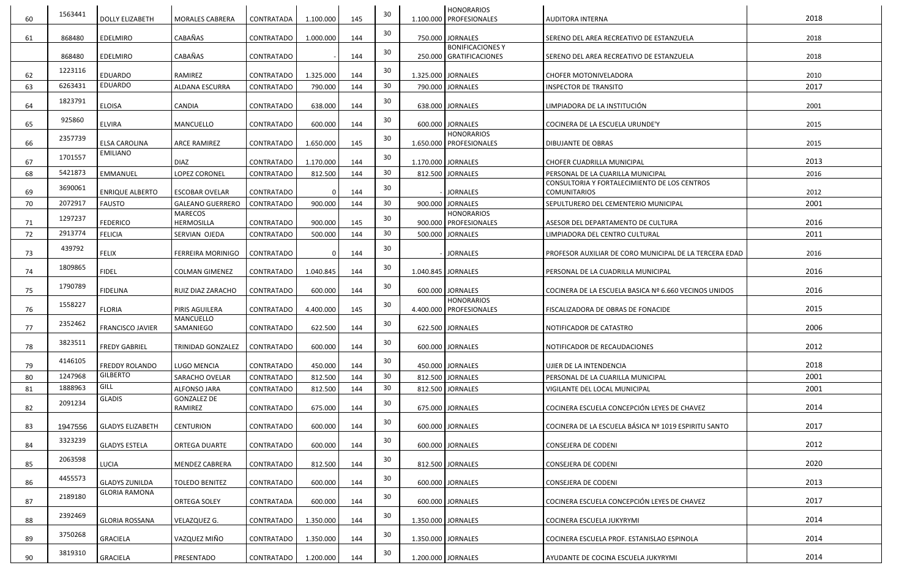| 60       | 1563441 | <b>DOLLY ELIZABETH</b>                   | <b>MORALES CABRERA</b>           | CONTRATADA               | 1.100.000            | 145        | 30              | <b>HONORARIOS</b><br>1.100.000 PROFESIONALES      | AUDITORA INTERNA                                                    | 2018         |
|----------|---------|------------------------------------------|----------------------------------|--------------------------|----------------------|------------|-----------------|---------------------------------------------------|---------------------------------------------------------------------|--------------|
|          |         |                                          |                                  |                          |                      |            | 30              |                                                   |                                                                     |              |
| 61       | 868480  | <b>EDELMIRO</b>                          | CABAÑAS                          | CONTRATADO               | 1.000.000            | 144        |                 | 750.000 JORNALES                                  | SERENO DEL AREA RECREATIVO DE ESTANZUELA                            | 2018         |
|          | 868480  | <b>EDELMIRO</b>                          | CABAÑAS                          | CONTRATADO               |                      | 144        | 30              | <b>BONIFICACIONESY</b><br>250.000 GRATIFICACIONES | SERENO DEL AREA RECREATIVO DE ESTANZUELA                            | 2018         |
|          | 1223116 |                                          |                                  |                          |                      |            | 30              |                                                   |                                                                     |              |
| 62       | 6263431 | <b>EDUARDO</b><br>EDUARDO                | RAMIREZ<br><b>ALDANA ESCURRA</b> | CONTRATADO               | 1.325.000<br>790.000 | 144<br>144 | 30 <sup>°</sup> | 1.325.000   JORNALES<br>790.000 JORNALES          | <b>CHOFER MOTONIVELADORA</b>                                        | 2010<br>2017 |
| 63       |         |                                          |                                  | CONTRATADO               |                      |            |                 |                                                   | <b>INSPECTOR DE TRANSITO</b>                                        |              |
| 64       | 1823791 | <b>ELOISA</b>                            | CANDIA                           | CONTRATADO               | 638.000              | 144        | 30              | 638.000 JORNALES                                  | LIMPIADORA DE LA INSTITUCIÓN                                        | 2001         |
| 65       | 925860  | <b>ELVIRA</b>                            | <b>MANCUELLO</b>                 | CONTRATADO               | 600.000              | 144        | 30 <sup>°</sup> | 600.000 JORNALES                                  | COCINERA DE LA ESCUELA URUNDE'Y                                     | 2015         |
|          | 2357739 |                                          |                                  |                          |                      |            | 30              | <b>HONORARIOS</b>                                 |                                                                     |              |
| 66       |         | <b>ELSA CAROLINA</b><br><b>EMILIANO</b>  | <b>ARCE RAMIREZ</b>              | CONTRATADO               | 1.650.000            | 145        |                 | 1.650.000 PROFESIONALES                           | DIBUJANTE DE OBRAS                                                  | 2015         |
| 67       | 1701557 |                                          | <b>DIAZ</b>                      | CONTRATADO               | 1.170.000            | 144        | 30              | 1.170.000 JORNALES                                | <b>CHOFER CUADRILLA MUNICIPAL</b>                                   | 2013         |
| 68       | 5421873 | EMMANUEL                                 | LOPEZ CORONEL                    | <b>CONTRATADO</b>        | 812.500              | 144        | 30              | 812.500 JORNALES                                  | PERSONAL DE LA CUARILLA MUNICIPAL                                   | 2016         |
| 69       | 3690061 | <b>ENRIQUE ALBERTO</b>                   | <b>ESCOBAR OVELAR</b>            | CONTRATADO               |                      | 144        | 30              | <b>JORNALES</b>                                   | CONSULTORIA Y FORTALECIMIENTO DE LOS CENTROS<br><b>COMUNITARIOS</b> | 2012         |
| 70       | 2072917 | <b>FAUSTO</b>                            | <b>GALEANO GUERRERO</b>          | <b>CONTRATADO</b>        | 900.000              | 144        | 30              | 900.000 JORNALES                                  | SEPULTURERO DEL CEMENTERIO MUNICIPAL                                | 2001         |
|          |         |                                          | MARECOS                          |                          |                      |            |                 | HONORARIOS                                        |                                                                     |              |
| 71       | 1297237 | <b>FEDERICO</b>                          | HERMOSILLA                       | CONTRATADO               | 900.000              | 145        | 30              | 900.000 PROFESIONALES                             | ASESOR DEL DEPARTAMENTO DE CULTURA                                  | 2016         |
| 72       | 2913774 | <b>FELICIA</b>                           | SERVIAN OJEDA                    | <b>CONTRATADO</b>        | 500.000              | 144        | 30              | 500.000 JORNALES                                  | LIMPIADORA DEL CENTRO CULTURAL                                      | 2011         |
| 73       | 439792  | <b>FELIX</b>                             | FERREIRA MORINIGO                | <b>CONTRATADO</b>        |                      | 144        | 30              | <b>JORNALES</b>                                   | PROFESOR AUXILIAR DE CORO MUNICIPAL DE LA TERCERA EDAD              | 2016         |
| 74       | 1809865 | <b>FIDEL</b>                             | <b>COLMAN GIMENEZ</b>            | CONTRATADO               | 1.040.845            | 144        | 30              | 1.040.845   JORNALES                              | PERSONAL DE LA CUADRILLA MUNICIPAL                                  | 2016         |
|          | 1790789 |                                          |                                  |                          |                      |            | 30              |                                                   |                                                                     |              |
| 75       |         | <b>FIDELINA</b>                          | RUIZ DIAZ ZARACHO                | CONTRATADO               | 600.000              | 144        |                 | 600.000 JORNALES                                  | COCINERA DE LA ESCUELA BASICA Nº 6.660 VECINOS UNIDOS               | 2016         |
| 76       | 1558227 | <b>FLORIA</b>                            | PIRIS AGUILERA                   | CONTRATADO               | 4.400.000            | 145        | 30              | <b>HONORARIOS</b><br>4.400.000 PROFESIONALES      | FISCALIZADORA DE OBRAS DE FONACIDE                                  | 2015         |
| 77       | 2352462 | <b>FRANCISCO JAVIER</b>                  | MANCUELLO<br>SAMANIEGO           | CONTRATADO               | 622.500              | 144        | 30              | 622.500 JORNALES                                  | NOTIFICADOR DE CATASTRO                                             | 2006         |
| 78       | 3823511 | <b>FREDY GABRIEL</b>                     | <b>TRINIDAD GONZALEZ</b>         | <b>CONTRATADO</b>        | 600.000              | 144        | 30              | 600.000 JORNALES                                  | NOTIFICADOR DE RECAUDACIONES                                        | 2012         |
|          | 4146105 |                                          |                                  |                          |                      |            | 30              |                                                   |                                                                     | 2018         |
| 79<br>80 | 1247968 | <b>FREDDY ROLANDO</b><br><b>GILBERTO</b> | LUGO MENCIA<br>SARACHO OVELAR    | CONTRATADO<br>CONTRATADO | 450.000<br>812.500   | 144<br>144 | 30 <sup>°</sup> | 450.000 JORNALES<br>812.500 JORNALES              | UJIER DE LA INTENDENCIA<br>PERSONAL DE LA CUARILLA MUNICIPAL        | 2001         |
|          | 1888963 | GILL                                     | ALFONSO JARA                     | CONTRATADO               | 812.500              | 144        | 30 <sup>°</sup> | 812.500 JORNALES                                  |                                                                     | 2001         |
| 81       |         | GLADIS                                   | <b>GONZALEZ DE</b>               |                          |                      |            |                 |                                                   | VIGILANTE DEL LOCAL MUNICIPAL                                       |              |
| 82       | 2091234 |                                          | RAMIREZ                          | CONTRATADO               | 675.000              | 144        | 30              | 675.000 JORNALES                                  | COCINERA ESCUELA CONCEPCIÓN LEYES DE CHAVEZ                         | 2014         |
| 83       | 1947556 | <b>GLADYS ELIZABETH</b>                  | <b>CENTURION</b>                 | CONTRATADO               | 600.000              | 144        | 30              | 600.000 JORNALES                                  | COCINERA DE LA ESCUELA BÁSICA Nº 1019 ESPIRITU SANTO                | 2017         |
|          |         |                                          |                                  |                          |                      |            |                 |                                                   |                                                                     |              |
| 84       | 3323239 | <b>GLADYS ESTELA</b>                     | ORTEGA DUARTE                    | CONTRATADO               | 600.000              | 144        | 30              | 600.000 JORNALES                                  | <b>CONSEJERA DE CODENI</b>                                          | 2012         |
| 85       | 2063598 | LUCIA                                    | <b>MENDEZ CABRERA</b>            | CONTRATADO               | 812.500              | 144        | 30              | 812.500 JORNALES                                  | <b>CONSEJERA DE CODENI</b>                                          | 2020         |
| 86       | 4455573 | <b>GLADYS ZUNILDA</b>                    | <b>TOLEDO BENITEZ</b>            | CONTRATADO               | 600.000              | 144        | 30 <sup>°</sup> | 600.000 JORNALES                                  | <b>CONSEJERA DE CODENI</b>                                          | 2013         |
| 87       | 2189180 | <b>GLORIA RAMONA</b>                     | ORTEGA SOLEY                     | CONTRATADA               | 600.000              | 144        | 30              | 600.000 JORNALES                                  | COCINERA ESCUELA CONCEPCIÓN LEYES DE CHAVEZ                         | 2017         |
|          | 2392469 |                                          |                                  |                          |                      |            |                 |                                                   |                                                                     |              |
| 88       |         | <b>GLORIA ROSSANA</b>                    | VELAZQUEZ G.                     | CONTRATADO               | 1.350.000            | 144        | 30              | 1.350.000 JORNALES                                | COCINERA ESCUELA JUKYRYMI                                           | 2014         |
| 89       | 3750268 | <b>GRACIELA</b>                          | VAZQUEZ MIÑO                     | CONTRATADO               | 1.350.000            | 144        | 30              | 1.350.000 JORNALES                                | COCINERA ESCUELA PROF. ESTANISLAO ESPINOLA                          | 2014         |
| 90       | 3819310 | GRACIELA                                 | PRESENTADO                       | CONTRATADO               | 1.200.000            | 144        | 30 <sup>°</sup> | 1.200.000 JORNALES                                | AYUDANTE DE COCINA ESCUELA JUKYRYMI                                 | 2014         |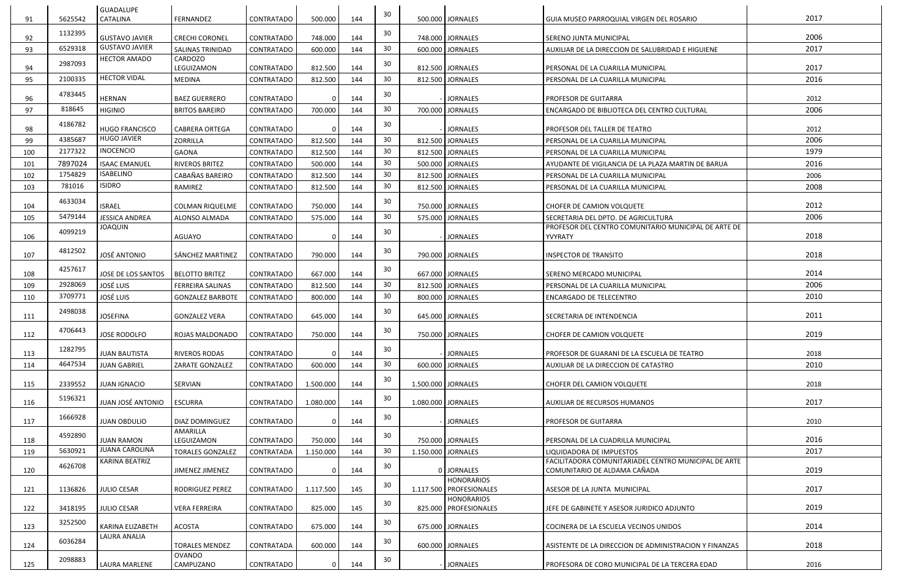| 91  | 5625542 | <b>GUADALUPE</b><br><b>CATALINA</b> | FERNANDEZ                    | CONTRATADO        | 500.000   | 144 | 30              |                    | 500.000 JORNALES                             | <b>GUIA MUSEO PARROQUIAL VIRGEN DEL ROSARIO</b>                        | 2017 |
|-----|---------|-------------------------------------|------------------------------|-------------------|-----------|-----|-----------------|--------------------|----------------------------------------------|------------------------------------------------------------------------|------|
| 92  | 1132395 | <b>GUSTAVO JAVIER</b>               | <b>CRECHI CORONEL</b>        | <b>CONTRATADO</b> | 748.000   | 144 | 30              |                    | 748.000 JORNALES                             | SERENO JUNTA MUNICIPAL                                                 | 2006 |
| 93  | 6529318 | <b>GUSTAVO JAVIER</b>               | <b>SALINAS TRINIDAD</b>      | CONTRATADO        | 600.000   | 144 | 30 <sub>o</sub> |                    | 600.000 JORNALES                             | AUXILIAR DE LA DIRECCION DE SALUBRIDAD E HIGUIENE                      | 2017 |
|     |         | <b>HECTOR AMADO</b>                 | CARDOZO                      |                   |           |     |                 |                    |                                              |                                                                        |      |
| 94  | 2987093 |                                     | LEGUIZAMON                   | CONTRATADO        | 812.500   | 144 | 30              |                    | 812.500 JORNALES                             | PERSONAL DE LA CUARILLA MUNICIPAL                                      | 2017 |
| 95  | 2100335 | <b>HECTOR VIDAL</b>                 | <b>MEDINA</b>                | CONTRATADO        | 812.500   | 144 | 30              |                    | 812.500 JORNALES                             | PERSONAL DE LA CUARILLA MUNICIPAL                                      | 2016 |
| 96  | 4783445 | <b>HERNAN</b>                       | <b>BAEZ GUERRERO</b>         | CONTRATADO        |           | 144 | 30              |                    | <b>JORNALES</b>                              | PROFESOR DE GUITARRA                                                   | 2012 |
| 97  | 818645  | <b>HIGINIO</b>                      | <b>BRITOS BAREIRO</b>        | CONTRATADO        | 700.000   | 144 | 30              |                    | 700.000 JORNALES                             | ENCARGADO DE BIBLIOTECA DEL CENTRO CULTURAL                            | 2006 |
| 98  | 4186782 | <b>HUGO FRANCISCO</b>               | <b>CABRERA ORTEGA</b>        | CONTRATADO        |           | 144 | 30              |                    | <b>JORNALES</b>                              | <b>PROFESOR DEL TALLER DE TEATRO</b>                                   | 2012 |
| 99  | 4385687 | <b>HUGO JAVIER</b>                  | ZORRILLA                     | CONTRATADO        | 812.500   | 144 | 30              |                    | 812.500 JORNALES                             | PERSONAL DE LA CUARILLA MUNICIPAL                                      | 2006 |
| 100 | 2177322 | <b>INOCENCIO</b>                    | GAONA                        | <b>CONTRATADO</b> | 812.500   | 144 | 30              |                    | 812.500 JORNALES                             | PERSONAL DE LA CUARILLA MUNICIPAL                                      | 1979 |
| 101 | 7897024 | <b>ISAAC EMANUEL</b>                | <b>RIVEROS BRITEZ</b>        | CONTRATADO        | 500.000   | 144 | 30              |                    | 500.000 JORNALES                             | AYUDANTE DE VIGILANCIA DE LA PLAZA MARTIN DE BARUA                     | 2016 |
| 102 | 1754829 | <b>ISABELINO</b>                    | CABAÑAS BAREIRO              | CONTRATADO        | 812.500   | 144 | 30              |                    | 812.500 JORNALES                             | PERSONAL DE LA CUARILLA MUNICIPAL                                      | 2006 |
| 103 | 781016  | <b>ISIDRO</b>                       | RAMIREZ                      | CONTRATADO        | 812.500   | 144 | 30              |                    | 812.500 JORNALES                             | PERSONAL DE LA CUARILLA MUNICIPAL                                      | 2008 |
|     | 4633034 |                                     |                              |                   |           |     | 30              |                    |                                              |                                                                        |      |
| 104 |         | <b>ISRAEL</b>                       | <b>COLMAN RIQUELME</b>       | CONTRATADO        | 750.000   | 144 |                 |                    | 750.000 JORNALES                             | CHOFER DE CAMION VOLQUETE                                              | 2012 |
| 105 | 5479144 | <b>JESSICA ANDREA</b>               | ALONSO ALMADA                | CONTRATADO        | 575.000   | 144 | 30              |                    | 575.000 JORNALES                             | SECRETARIA DEL DPTO. DE AGRICULTURA                                    | 2006 |
| 106 | 4099219 | <b>JOAQUIN</b>                      | AGUAYO                       | CONTRATADO        |           | 144 | 30              |                    | <b>JORNALES</b>                              | PROFESOR DEL CENTRO COMUNITARIO MUNICIPAL DE ARTE DE<br><b>YVYRATY</b> | 2018 |
| 107 | 4812502 | <b>JOSÉ ANTONIO</b>                 | SÁNCHEZ MARTINEZ             | CONTRATADO        | 790.000   | 144 | 30              |                    | 790.000 JORNALES                             | <b>INSPECTOR DE TRANSITO</b>                                           | 2018 |
| 108 | 4257617 | JOSE DE LOS SANTOS                  | <b>BELOTTO BRITEZ</b>        | CONTRATADO        | 667.000   | 144 | 30              |                    | 667.000 JORNALES                             | SERENO MERCADO MUNICIPAL                                               | 2014 |
| 109 | 2928069 | <b>JOSÉ LUIS</b>                    | FERREIRA SALINAS             | CONTRATADO        | 812.500   | 144 | 30              |                    | 812.500 JORNALES                             | PERSONAL DE LA CUARILLA MUNICIPAL                                      | 2006 |
| 110 | 3709771 | <b>JOSÉ LUIS</b>                    | <b>GONZALEZ BARBOTE</b>      | CONTRATADO        | 800.000   | 144 | 30              |                    | 800.000 JORNALES                             | <b>ENCARGADO DE TELECENTRO</b>                                         | 2010 |
| 111 | 2498038 | <b>JOSEFINA</b>                     | <b>GONZALEZ VERA</b>         | CONTRATADO        | 645.000   | 144 | 30              |                    | 645.000 JORNALES                             | SECRETARIA DE INTENDENCIA                                              | 2011 |
| 112 | 4706443 | <b>JOSE RODOLFO</b>                 | ROJAS MALDONADO   CONTRATADO |                   | 750.000   | 144 | 30              |                    | 750.000 JORNALES                             | <b>CHOFER DE CAMION VOLQUETE</b>                                       | 2019 |
| 113 | 1282795 | <b>JUAN BAUTISTA</b>                | <b>RIVEROS RODAS</b>         | CONTRATADO        |           | 144 | 30              |                    | <b>JORNALES</b>                              | PROFESOR DE GUARANI DE LA ESCUELA DE TEATRO                            | 2018 |
| 114 | 4647534 | <b>JUAN GABRIEL</b>                 | ZARATE GONZALEZ              | CONTRATADO        | 600.000   | 144 | 30              |                    | 600.000 JORNALES                             | AUXILIAR DE LA DIRECCION DE CATASTRO                                   | 2010 |
| 115 | 2339552 | <b>JUAN IGNACIO</b>                 | SERVIAN                      | CONTRATADO        | 1.500.000 | 144 | 30              | 1.500.000 JORNALES |                                              | CHOFER DEL CAMION VOLQUETE                                             | 2018 |
|     |         |                                     |                              |                   |           |     |                 |                    |                                              |                                                                        |      |
| 116 | 5196321 | JUAN JOSÉ ANTONIO                   | <b>ESCURRA</b>               | CONTRATADO        | 1.080.000 | 144 | 30              | 1.080.000 JORNALES |                                              | <b>AUXILIAR DE RECURSOS HUMANOS</b>                                    | 2017 |
| 117 | 1666928 | <b>JUAN OBDULIO</b>                 | DIAZ DOMINGUEZ               | CONTRATADO        |           | 144 | 30              |                    | <b>JORNALES</b>                              | <b>PROFESOR DE GUITARRA</b>                                            | 2010 |
| 118 | 4592890 | <b>JUAN RAMON</b>                   | AMARILLA<br>LEGUIZAMON       | CONTRATADO        | 750.000   | 144 | 30              |                    | 750.000 JORNALES                             | PERSONAL DE LA CUADRILLA MUNICIPAL                                     | 2016 |
| 119 | 5630921 | <b>JUANA CAROLINA</b>               | <b>TORALES GONZALEZ</b>      | CONTRATADA        | 1.150.000 | 144 | 30              |                    | 1.150.000 JORNALES                           | LIQUIDADORA DE IMPUESTOS                                               | 2017 |
|     | 4626708 | KARINA BEATRIZ                      |                              |                   |           |     |                 |                    |                                              | FACILITADORA COMUNITARIADEL CENTRO MUNICIPAL DE ARTE                   |      |
| 120 |         |                                     | JIMENEZ JIMENEZ              | CONTRATADO        |           | 144 | 30              |                    | 0 JORNALES                                   | COMUNITARIO DE ALDAMA CAÑADA                                           | 2019 |
| 121 | 1136826 | <b>JULIO CESAR</b>                  | RODRIGUEZ PEREZ              | CONTRATADO        | 1.117.500 | 145 | 30              |                    | <b>HONORARIOS</b><br>1.117.500 PROFESIONALES | ASESOR DE LA JUNTA MUNICIPAL                                           | 2017 |
|     |         |                                     |                              |                   |           |     | 30              |                    | <b>HONORARIOS</b>                            |                                                                        |      |
| 122 | 3418195 | <b>JULIO CESAR</b>                  | <b>VERA FERREIRA</b>         | CONTRATADO        | 825.000   | 145 |                 |                    | 825.000 PROFESIONALES                        | JEFE DE GABINETE Y ASESOR JURIDICO ADJUNTO                             | 2019 |
| 123 | 3252500 | <b>KARINA ELIZABETH</b>             | <b>ACOSTA</b>                | CONTRATADO        | 675.000   | 144 | 30              |                    | 675.000 JORNALES                             | COCINERA DE LA ESCUELA VECINOS UNIDOS                                  | 2014 |
| 124 | 6036284 | LAURA ANALIA                        | <b>TORALES MENDEZ</b>        | CONTRATADA        | 600.000   | 144 | 30              |                    | 600.000 JORNALES                             | ASISTENTE DE LA DIRECCION DE ADMINISTRACION Y FINANZAS                 | 2018 |
| 125 | 2098883 | LAURA MARLENE                       | <b>OVANDO</b><br>CAMPUZANO   | CONTRATADO        |           | 144 | 30              |                    |                                              | PROFESORA DE CORO MUNICIPAL DE LA TERCERA EDAD                         |      |
|     |         |                                     |                              |                   |           |     |                 |                    | <b>JORNALES</b>                              |                                                                        | 2016 |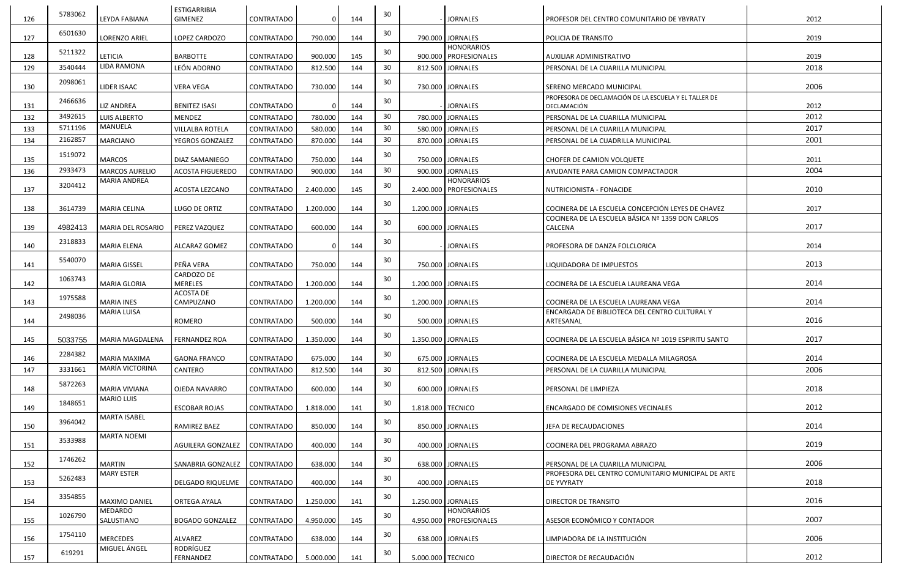|     | 5783062 |                        | <b>ESTIGARRIBIA</b>                 |                   |           |     | 30 |                   |                                              |                                                       |      |
|-----|---------|------------------------|-------------------------------------|-------------------|-----------|-----|----|-------------------|----------------------------------------------|-------------------------------------------------------|------|
| 126 |         | LEYDA FABIANA          | <b>GIMENEZ</b>                      | CONTRATADO        | 0         | 144 |    |                   | <b>JORNALES</b>                              | <b>PROFESOR DEL CENTRO COMUNITARIO DE YBYRATY</b>     | 2012 |
| 127 | 6501630 | LORENZO ARIEL          | LOPEZ CARDOZO                       | <b>CONTRATADO</b> | 790.000   | 144 | 30 |                   | 790.000 JORNALES                             | POLICIA DE TRANSITO                                   | 2019 |
|     | 5211322 |                        |                                     |                   |           |     | 30 |                   | <b>HONORARIOS</b>                            |                                                       |      |
| 128 |         | <b>LETICIA</b>         | <b>BARBOTTE</b>                     | CONTRATADO        | 900.000   | 145 |    |                   | 900.000 PROFESIONALES                        | AUXILIAR ADMINISTRATIVO                               | 2019 |
| 129 | 3540444 | <b>LIDA RAMONA</b>     | LEÓN ADORNO                         | <b>CONTRATADO</b> | 812.500   | 144 | 30 |                   | 812.500 JORNALES                             | PERSONAL DE LA CUARILLA MUNICIPAL                     | 2018 |
| 130 | 2098061 | LIDER ISAAC            | <b>VERA VEGA</b>                    | <b>CONTRATADO</b> | 730.000   | 144 | 30 |                   | 730.000 JORNALES                             | SERENO MERCADO MUNICIPAL                              | 2006 |
|     |         |                        |                                     |                   |           |     |    |                   |                                              | PROFESORA DE DECLAMACIÓN DE LA ESCUELA Y EL TALLER DE |      |
| 131 | 2466636 | <b>LIZ ANDREA</b>      | <b>BENITEZ ISASI</b>                | <b>CONTRATADO</b> |           | 144 | 30 |                   | <b>JORNALES</b>                              | DECLAMACIÓN                                           | 2012 |
| 132 | 3492615 | <b>LUIS ALBERTO</b>    | <b>MENDEZ</b>                       | <b>CONTRATADO</b> | 780.000   | 144 | 30 |                   | 780.000 JORNALES                             | PERSONAL DE LA CUARILLA MUNICIPAL                     | 2012 |
| 133 | 5711196 | MANUELA                | <b>VILLALBA ROTELA</b>              | <b>CONTRATADO</b> | 580.000   | 144 | 30 |                   | 580.000 JORNALES                             | PERSONAL DE LA CUARILLA MUNICIPAL                     | 2017 |
| 134 | 2162857 | <b>MARCIANO</b>        | YEGROS GONZALEZ                     | CONTRATADO        | 870.000   | 144 | 30 |                   | 870.000 JORNALES                             | PERSONAL DE LA CUADRILLA MUNICIPAL                    | 2001 |
|     | 1519072 |                        |                                     |                   |           |     | 30 |                   |                                              |                                                       |      |
| 135 |         | <b>MARCOS</b>          | DIAZ SAMANIEGO                      | <b>CONTRATADO</b> | 750.000   | 144 |    |                   | 750.000 JORNALES                             | CHOFER DE CAMION VOLQUETE                             | 2011 |
| 136 | 2933473 | <b>MARCOS AURELIO</b>  | <b>ACOSTA FIGUEREDO</b>             | CONTRATADO        | 900.000   | 144 | 30 |                   | 900.000 JORNALES                             | AYUDANTE PARA CAMION COMPACTADOR                      | 2004 |
| 137 | 3204412 | MARIA ANDREA           | ACOSTA LEZCANO                      | CONTRATADO        | 2.400.000 | 145 | 30 |                   | <b>HONORARIOS</b><br>2.400.000 PROFESIONALES | NUTRICIONISTA - FONACIDE                              | 2010 |
|     |         |                        |                                     |                   |           |     |    |                   |                                              |                                                       |      |
| 138 | 3614739 | <b>MARIA CELINA</b>    | LUGO DE ORTIZ                       | <b>CONTRATADO</b> | 1.200.000 | 144 | 30 |                   | 1.200.000 JORNALES                           | COCINERA DE LA ESCUELA CONCEPCIÓN LEYES DE CHAVEZ     | 2017 |
|     |         |                        |                                     |                   |           |     | 30 |                   |                                              | COCINERA DE LA ESCUELA BÁSICA Nº 1359 DON CARLOS      | 2017 |
| 139 | 4982413 | MARIA DEL ROSARIO      | <b>PEREZ VAZQUEZ</b>                | <b>CONTRATADO</b> | 600.000   | 144 |    |                   | 600.000 JORNALES                             | CALCENA                                               |      |
| 140 | 2318833 | <b>MARIA ELENA</b>     | <b>ALCARAZ GOMEZ</b>                | <b>CONTRATADO</b> |           | 144 | 30 |                   | <b>JORNALES</b>                              | <b>PROFESORA DE DANZA FOLCLORICA</b>                  | 2014 |
|     | 5540070 |                        |                                     |                   |           |     | 30 |                   |                                              |                                                       |      |
| 141 |         | <b>MARIA GISSEL</b>    | PEÑA VERA                           | <b>CONTRATADO</b> | 750.000   | 144 |    |                   | 750.000 JORNALES                             | LIQUIDADORA DE IMPUESTOS                              | 2013 |
| 142 | 1063743 | <b>MARIA GLORIA</b>    | <b>CARDOZO DE</b><br><b>MERELES</b> | CONTRATADO        | 1.200.000 | 144 | 30 |                   | 1.200.000 JORNALES                           | COCINERA DE LA ESCUELA LAUREANA VEGA                  | 2014 |
|     |         |                        | <b>ACOSTA DE</b>                    |                   |           |     |    |                   |                                              |                                                       |      |
| 143 | 1975588 | <b>MARIA INES</b>      | CAMPUZANO                           | CONTRATADO        | 1.200.000 | 144 | 30 |                   | 1.200.000 JORNALES                           | COCINERA DE LA ESCUELA LAUREANA VEGA                  | 2014 |
|     | 2498036 | <b>MARIA LUISA</b>     |                                     |                   |           |     | 30 |                   |                                              | ENCARGADA DE BIBLIOTECA DEL CENTRO CULTURAL Y         |      |
| 144 |         |                        | ROMERO                              | <b>CONTRATADO</b> | 500.000   | 144 |    |                   | 500.000 JORNALES                             | ARTESANAL                                             | 2016 |
| 145 | 5033755 | <b>MARIA MAGDALENA</b> | <b>FERNANDEZ ROA</b>                | CONTRATADO        | 1.350.000 | 144 | 30 |                   | 1.350.000 JORNALES                           | COCINERA DE LA ESCUELA BÁSICA Nº 1019 ESPIRITU SANTO  | 2017 |
|     | 2284382 |                        |                                     |                   |           |     | 30 |                   |                                              |                                                       |      |
| 146 |         | MARIA MAXIMA           | <b>GAONA FRANCO</b>                 | <b>CONTRATADO</b> | 675.000   | 144 |    |                   | 675.000 JORNALES                             | COCINERA DE LA ESCUELA MEDALLA MILAGROSA              | 2014 |
| 147 | 3331661 | MARÍA VICTORINA        | CANTERO                             | <b>CONTRATADO</b> | 812.500   | 144 | 30 |                   | 812.500 JORNALES                             | PERSONAL DE LA CUARILLA MUNICIPAL                     | 2006 |
| 148 | 5872263 | MARIA VIVIANA          | <b>OJEDA NAVARRO</b>                | CONTRATADO        | 600.000   | 144 | 30 |                   | 600.000 JORNALES                             | <b>PERSONAL DE LIMPIEZA</b>                           | 2018 |
|     |         | <b>MARIO LUIS</b>      |                                     |                   |           |     |    |                   |                                              |                                                       |      |
| 149 | 1848651 |                        | <b>ESCOBAR ROJAS</b>                | CONTRATADO        | 1.818.000 | 141 | 30 | 1.818.000 TECNICO |                                              | <b>ENCARGADO DE COMISIONES VECINALES</b>              | 2012 |
|     | 3964042 | MARTA ISABEL           |                                     |                   |           |     | 30 |                   |                                              |                                                       |      |
| 150 |         | <b>MARTA NOEMI</b>     | RAMIREZ BAEZ                        | <b>CONTRATADO</b> | 850.000   | 144 |    |                   | 850.000 JORNALES                             | JEFA DE RECAUDACIONES                                 | 2014 |
| 151 | 3533988 |                        | AGUILERA GONZALEZ                   | CONTRATADO        | 400.000   | 144 | 30 |                   | 400.000 JORNALES                             | COCINERA DEL PROGRAMA ABRAZO                          | 2019 |
|     |         |                        |                                     |                   |           |     |    |                   |                                              |                                                       |      |
| 152 | 1746262 | <b>MARTIN</b>          | SANABRIA GONZALEZ                   | <b>CONTRATADO</b> | 638.000   | 144 | 30 |                   | 638.000 JORNALES                             | PERSONAL DE LA CUARILLA MUNICIPAL                     | 2006 |
|     | 5262483 | <b>MARY ESTER</b>      |                                     |                   |           |     | 30 |                   |                                              | PROFESORA DEL CENTRO COMUNITARIO MUNICIPAL DE ARTE    | 2018 |
| 153 |         |                        | <b>DELGADO RIQUELME</b>             | CONTRATADO        | 400.000   | 144 |    |                   | 400.000 JORNALES                             | <b>DE YVYRATY</b>                                     |      |
| 154 | 3354855 | <b>MAXIMO DANIEL</b>   | <b>ORTEGA AYALA</b>                 | <b>CONTRATADO</b> | 1.250.000 | 141 | 30 |                   | 1.250.000 JORNALES                           | <b>DIRECTOR DE TRANSITO</b>                           | 2016 |
|     | 1026790 | MEDARDO                |                                     |                   |           |     | 30 |                   | <b>HONORARIOS</b>                            |                                                       |      |
| 155 |         | SALUSTIANO             | <b>BOGADO GONZALEZ</b>              | CONTRATADO        | 4.950.000 | 145 |    |                   | 4.950.000 PROFESIONALES                      | ASESOR ECONÓMICO Y CONTADOR                           | 2007 |
| 156 | 1754110 | <b>MERCEDES</b>        | ALVAREZ                             | <b>CONTRATADO</b> | 638.000   | 144 | 30 |                   | 638.000 JORNALES                             | LIMPIADORA DE LA INSTITUCIÓN                          | 2006 |
|     |         | MIGUEL ÁNGEL           | RODRÍGUEZ                           |                   |           |     |    |                   |                                              |                                                       |      |
| 157 | 619291  |                        | FERNANDEZ                           | CONTRATADO        | 5.000.000 | 141 | 30 | 5.000.000 TECNICO |                                              | DIRECTOR DE RECAUDACIÓN                               | 2012 |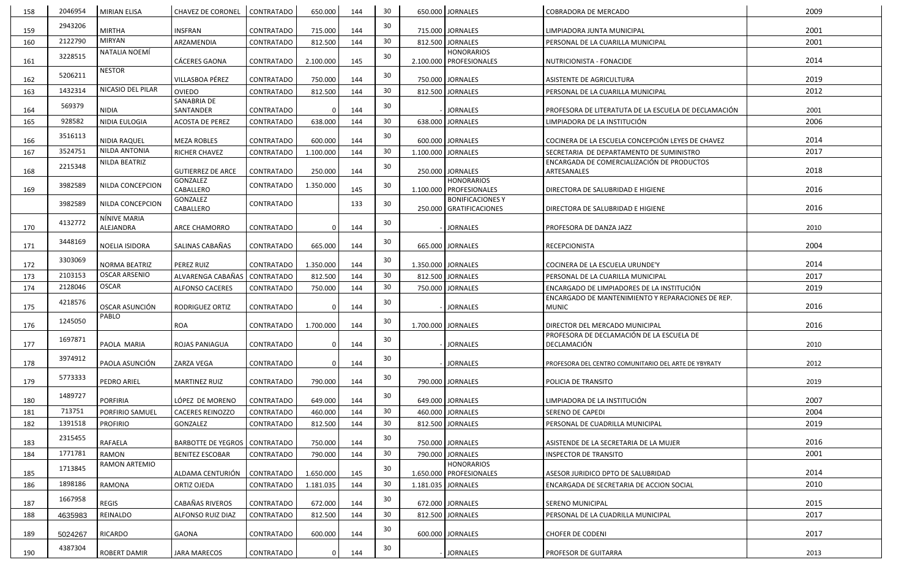| 2943206<br>30<br><b>MIRTHA</b><br><b>INSFRAN</b><br>159<br>CONTRATADO<br>715.000<br>144<br>715.000 JORNALES<br>LIMPIADORA JUNTA MUNICIPAL<br><b>MIRYAN</b><br>2122790<br>30<br>812.500<br>812.500 JORNALES<br>160<br>ARZAMENDIA<br><b>CONTRATADO</b><br>144<br>PERSONAL DE LA CUARILLA MUNICIPAL<br>NATALIA NOEMÍ<br><b>HONORARIOS</b><br>3228515<br>30<br><b>CÁCERES GAONA</b><br>145<br>161<br>CONTRATADO<br>2.100.000<br>2.100.000 PROFESIONALES<br>NUTRICIONISTA - FONACIDE<br><b>NESTOR</b><br>5206211<br>30<br>VILLASBOA PÉREZ<br>750.000<br>144<br>162<br>CONTRATADO<br>750.000 JORNALES<br>ASISTENTE DE AGRICULTURA<br>NICASIO DEL PILAR<br>1432314<br>30<br>OVIEDO<br>812.500<br>812.500 JORNALES<br><b>CONTRATADO</b><br>144<br>163<br>PERSONAL DE LA CUARILLA MUNICIPAL<br>SANABRIA DE<br>569379<br>30<br><b>NIDIA</b> | 2001<br>2001<br>2014<br>2019<br>2012 |
|-----------------------------------------------------------------------------------------------------------------------------------------------------------------------------------------------------------------------------------------------------------------------------------------------------------------------------------------------------------------------------------------------------------------------------------------------------------------------------------------------------------------------------------------------------------------------------------------------------------------------------------------------------------------------------------------------------------------------------------------------------------------------------------------------------------------------------------|--------------------------------------|
|                                                                                                                                                                                                                                                                                                                                                                                                                                                                                                                                                                                                                                                                                                                                                                                                                                   |                                      |
|                                                                                                                                                                                                                                                                                                                                                                                                                                                                                                                                                                                                                                                                                                                                                                                                                                   |                                      |
|                                                                                                                                                                                                                                                                                                                                                                                                                                                                                                                                                                                                                                                                                                                                                                                                                                   |                                      |
|                                                                                                                                                                                                                                                                                                                                                                                                                                                                                                                                                                                                                                                                                                                                                                                                                                   |                                      |
|                                                                                                                                                                                                                                                                                                                                                                                                                                                                                                                                                                                                                                                                                                                                                                                                                                   |                                      |
| 164<br>SANTANDER<br>CONTRATADO<br>144<br><b>JORNALES</b><br>PROFESORA DE LITERATUTA DE LA ESCUELA DE DECLAMACIÓN                                                                                                                                                                                                                                                                                                                                                                                                                                                                                                                                                                                                                                                                                                                  | 2001                                 |
| 928582<br>30<br>638.000<br>638.000 JORNALES<br>LIMPIADORA DE LA INSTITUCIÓN<br>NIDIA EULOGIA<br><b>ACOSTA DE PEREZ</b><br>CONTRATADO<br>144<br>165                                                                                                                                                                                                                                                                                                                                                                                                                                                                                                                                                                                                                                                                                | 2006                                 |
| 3516113<br>30<br>NIDIA RAQUEL<br>600.000<br>600.000 JORNALES<br>COCINERA DE LA ESCUELA CONCEPCIÓN LEYES DE CHAVEZ<br>166<br><b>MEZA ROBLES</b><br>CONTRATADO<br>144                                                                                                                                                                                                                                                                                                                                                                                                                                                                                                                                                                                                                                                               | 2014                                 |
| NILDA ANTONIA<br>3524751<br>30<br>167<br>144<br>1.100.000 JORNALES<br><b>RICHER CHAVEZ</b><br>CONTRATADO<br>1.100.000<br>SECRETARIA DE DEPARTAMENTO DE SUMINISTRO                                                                                                                                                                                                                                                                                                                                                                                                                                                                                                                                                                                                                                                                 | 2017                                 |
| NILDA BEATRIZ<br>ENCARGADA DE COMERCIALIZACIÓN DE PRODUCTOS<br>2215348<br>30                                                                                                                                                                                                                                                                                                                                                                                                                                                                                                                                                                                                                                                                                                                                                      |                                      |
| 250.000 JORNALES<br><b>GUTIERREZ DE ARCE</b><br>CONTRATADO<br>250.000<br>144<br>ARTESANALES<br>168<br>GONZALEZ<br><b>HONORARIOS</b>                                                                                                                                                                                                                                                                                                                                                                                                                                                                                                                                                                                                                                                                                               | 2018                                 |
| 3982589<br><b>CONTRATADO</b><br>NILDA CONCEPCION<br>1.350.000<br>30<br>CABALLERO<br>1.100.000 PROFESIONALES<br>145<br>169<br>DIRECTORA DE SALUBRIDAD E HIGIENE                                                                                                                                                                                                                                                                                                                                                                                                                                                                                                                                                                                                                                                                    | 2016                                 |
| GONZALEZ<br><b>BONIFICACIONESY</b><br>3982589<br><b>CONTRATADO</b><br>30<br>NILDA CONCEPCION<br>133<br>CABALLERO<br>250.000 GRATIFICACIONES<br>DIRECTORA DE SALUBRIDAD E HIGIENE                                                                                                                                                                                                                                                                                                                                                                                                                                                                                                                                                                                                                                                  | 2016                                 |
| NÍNIVE MARIA                                                                                                                                                                                                                                                                                                                                                                                                                                                                                                                                                                                                                                                                                                                                                                                                                      |                                      |
| 4132772<br>30<br>ALEJANDRA<br>144<br><b>JORNALES</b><br>170<br><b>ARCE CHAMORRO</b><br>CONTRATADO<br>PROFESORA DE DANZA JAZZ                                                                                                                                                                                                                                                                                                                                                                                                                                                                                                                                                                                                                                                                                                      | 2010                                 |
| 3448169<br>30<br><b>SALINAS CABAÑAS</b><br>171<br>NOELIA ISIDORA<br>CONTRATADO<br>665.000<br>144<br>665.000 JORNALES<br><b>RECEPCIONISTA</b>                                                                                                                                                                                                                                                                                                                                                                                                                                                                                                                                                                                                                                                                                      | 2004                                 |
|                                                                                                                                                                                                                                                                                                                                                                                                                                                                                                                                                                                                                                                                                                                                                                                                                                   |                                      |
| 3303069<br>30<br>PEREZ RUIZ<br>172<br><b>NORMA BEATRIZ</b><br>CONTRATADO<br>1.350.000<br>144<br>1.350.000 JORNALES<br>COCINERA DE LA ESCUELA URUNDE'Y                                                                                                                                                                                                                                                                                                                                                                                                                                                                                                                                                                                                                                                                             | 2014                                 |
| <b>OSCAR ARSENIO</b><br>2103153<br>30<br>ALVARENGA CABAÑAS<br>812.500 JORNALES<br><b>CONTRATADO</b><br>812.500<br>144<br>173<br>PERSONAL DE LA CUARILLA MUNICIPAL                                                                                                                                                                                                                                                                                                                                                                                                                                                                                                                                                                                                                                                                 | 2017                                 |
| <b>OSCAR</b><br>2128046<br>30<br>144<br>750.000 JORNALES<br>174<br><b>ALFONSO CACERES</b><br>CONTRATADO<br>750.000<br>ENCARGADO DE LIMPIADORES DE LA INSTITUCIÓN                                                                                                                                                                                                                                                                                                                                                                                                                                                                                                                                                                                                                                                                  | 2019                                 |
| ENCARGADO DE MANTENIMIENTO Y REPARACIONES DE REP.<br>4218576<br>30<br>OSCAR ASUNCIÓN<br><b>RODRIGUEZ ORTIZ</b><br><b>JORNALES</b><br><b>MUNIC</b><br>175<br>CONTRATADO<br>144<br>$\Omega$                                                                                                                                                                                                                                                                                                                                                                                                                                                                                                                                                                                                                                         | 2016                                 |
| PABLO<br>1245050<br>30<br>1.700.000 JORNALES<br>176<br><b>ROA</b><br>CONTRATADO<br>1.700.000<br>144<br>DIRECTOR DEL MERCADO MUNICIPAL                                                                                                                                                                                                                                                                                                                                                                                                                                                                                                                                                                                                                                                                                             | 2016                                 |
| PROFESORA DE DECLAMACIÓN DE LA ESCUELA DE<br>1697871<br>30 <sup>°</sup>                                                                                                                                                                                                                                                                                                                                                                                                                                                                                                                                                                                                                                                                                                                                                           |                                      |
| <b>JORNALES</b><br>DECLAMACIÓN<br>PAOLA MARIA<br>CONTRATADO<br>144<br>177<br><b>ROJAS PANIAGUA</b><br>$\overline{0}$                                                                                                                                                                                                                                                                                                                                                                                                                                                                                                                                                                                                                                                                                                              | 2010                                 |
| 3974912<br>30<br>178<br>PAOLA ASUNCIÓN<br>ZARZA VEGA<br><b>JORNALES</b><br>CONTRATADO<br>144<br>PROFESORA DEL CENTRO COMUNITARIO DEL ARTE DE YBYRATY                                                                                                                                                                                                                                                                                                                                                                                                                                                                                                                                                                                                                                                                              | 2012                                 |
| 5773333<br>30<br>PEDRO ARIEL<br>179<br><b>MARTINEZ RUIZ</b><br>CONTRATADO<br>790.000<br>144<br>790.000 JORNALES<br>POLICIA DE TRANSITO                                                                                                                                                                                                                                                                                                                                                                                                                                                                                                                                                                                                                                                                                            | 2019                                 |
| 1489727<br>30                                                                                                                                                                                                                                                                                                                                                                                                                                                                                                                                                                                                                                                                                                                                                                                                                     |                                      |
| <b>PORFIRIA</b><br>180<br>LÓPEZ DE MORENO<br>CONTRATADO<br>649.000<br>144<br>649.000 JORNALES<br>LIMPIADORA DE LA INSTITUCIÓN                                                                                                                                                                                                                                                                                                                                                                                                                                                                                                                                                                                                                                                                                                     | 2007                                 |
| 30<br>713751<br>144<br>460.000 JORNALES<br>PORFIRIO SAMUEL<br><b>CONTRATADO</b><br>460.000<br>181<br><b>CACERES REINOZZO</b><br>SERENO DE CAPEDI                                                                                                                                                                                                                                                                                                                                                                                                                                                                                                                                                                                                                                                                                  | 2004                                 |
| 30<br>1391518<br><b>PROFIRIO</b><br>GONZALEZ<br>812.500 JORNALES<br>182<br>CONTRATADO<br>812.500<br>144<br>PERSONAL DE CUADRILLA MUNICIPAL                                                                                                                                                                                                                                                                                                                                                                                                                                                                                                                                                                                                                                                                                        | 2019                                 |
| 2315455<br>30<br>RAFAELA<br>750.000 JORNALES<br><b>BARBOTTE DE YEGROS</b><br><b>CONTRATADO</b><br>750.000<br>144<br>183<br>ASISTENDE DE LA SECRETARIA DE LA MUJER                                                                                                                                                                                                                                                                                                                                                                                                                                                                                                                                                                                                                                                                 | 2016                                 |
| 1771781<br>30<br>RAMON<br>144<br>790.000 JORNALES<br>184<br><b>BENITEZ ESCOBAR</b><br>CONTRATADO<br>790.000<br><b>INSPECTOR DE TRANSITO</b>                                                                                                                                                                                                                                                                                                                                                                                                                                                                                                                                                                                                                                                                                       | 2001                                 |
| <b>HONORARIOS</b><br>RAMON ARTEMIO<br>1713845<br>30                                                                                                                                                                                                                                                                                                                                                                                                                                                                                                                                                                                                                                                                                                                                                                               | 2014                                 |
| 185<br>ALDAMA CENTURIÓN<br>CONTRATADO<br>1.650.000<br>145<br>1.650.000 PROFESIONALES<br>ASESOR JURIDICO DPTO DE SALUBRIDAD<br>30<br>1898186                                                                                                                                                                                                                                                                                                                                                                                                                                                                                                                                                                                                                                                                                       | 2010                                 |
| 186<br><b>RAMONA</b><br><b>ORTIZ OJEDA</b><br>1.181.035<br>144<br>1.181.035 JORNALES<br>CONTRATADO<br>ENCARGADA DE SECRETARIA DE ACCION SOCIAL                                                                                                                                                                                                                                                                                                                                                                                                                                                                                                                                                                                                                                                                                    |                                      |
| 1667958<br>30<br><b>REGIS</b><br><b>CABAÑAS RIVEROS</b><br>187<br>CONTRATADO<br>672.000<br>144<br>672.000 JORNALES<br>SERENO MUNICIPAL                                                                                                                                                                                                                                                                                                                                                                                                                                                                                                                                                                                                                                                                                            | 2015                                 |
| 30<br>4635983<br>REINALDO<br>ALFONSO RUIZ DIAZ<br>812.500<br>812.500 JORNALES<br>188<br>CONTRATADO<br>144<br>PERSONAL DE LA CUADRILLA MUNICIPAL                                                                                                                                                                                                                                                                                                                                                                                                                                                                                                                                                                                                                                                                                   | 2017                                 |
| 30<br>RICARDO<br><b>GAONA</b><br>600.000<br>144<br>600.000 JORNALES<br><b>CHOFER DE CODENI</b><br>189<br>5024267<br>CONTRATADO                                                                                                                                                                                                                                                                                                                                                                                                                                                                                                                                                                                                                                                                                                    | 2017                                 |
| 4387304<br>30<br>190<br>ROBERT DAMIR<br>JARA MARECOS<br>CONTRATADO<br>144<br><b>JORNALES</b><br>PROFESOR DE GUITARRA                                                                                                                                                                                                                                                                                                                                                                                                                                                                                                                                                                                                                                                                                                              | 2013                                 |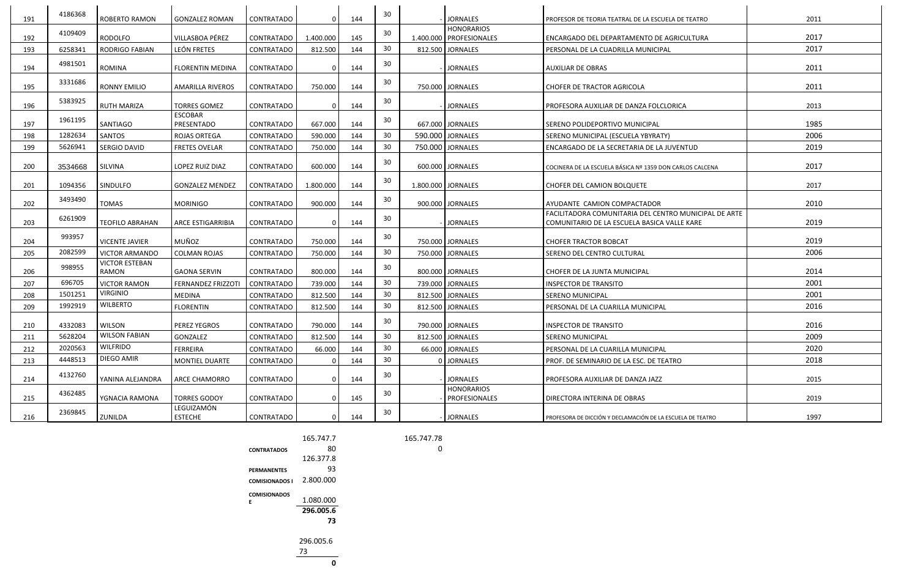| 191 | 4186368 | <b>ROBERTO RAMON</b>           | <b>GONZALEZ ROMAN</b>        | CONTRATADO        |           | 144 | 30              |                    | <b>JORNALES</b>                              | PROFESOR DE TEORIA TEATRAL DE LA ESCUELA DE TEATRO                                                   | 2011 |
|-----|---------|--------------------------------|------------------------------|-------------------|-----------|-----|-----------------|--------------------|----------------------------------------------|------------------------------------------------------------------------------------------------------|------|
| 192 | 4109409 | <b>RODOLFO</b>                 | VILLASBOA PÉREZ              | <b>CONTRATADO</b> | 1.400.000 | 145 | 30              |                    | <b>HONORARIOS</b><br>1.400.000 PROFESIONALES | ENCARGADO DEL DEPARTAMENTO DE AGRICULTURA                                                            | 2017 |
| 193 | 6258341 | <b>RODRIGO FABIAN</b>          | LEÓN FRETES                  | CONTRATADO        | 812.500   | 144 | 30 <sup>°</sup> |                    | 812.500 JORNALES                             | PERSONAL DE LA CUADRILLA MUNICIPAL                                                                   | 2017 |
| 194 | 4981501 | ROMINA                         | FLORENTIN MEDINA             | CONTRATADO        |           | 144 | 30              |                    | <b>JORNALES</b>                              | <b>AUXILIAR DE OBRAS</b>                                                                             | 2011 |
| 195 | 3331686 | <b>RONNY EMILIO</b>            | <b>AMARILLA RIVEROS</b>      | CONTRATADO        | 750.000   | 144 | 30              |                    | 750.000 JORNALES                             | <b>CHOFER DE TRACTOR AGRICOLA</b>                                                                    | 2011 |
| 196 | 5383925 | <b>RUTH MARIZA</b>             | <b>TORRES GOMEZ</b>          | CONTRATADO        |           | 144 | 30              |                    | <b>JORNALES</b>                              | PROFESORA AUXILIAR DE DANZA FOLCLORICA                                                               | 2013 |
| 197 | 1961195 | SANTIAGO                       | <b>ESCOBAR</b><br>PRESENTADO | CONTRATADO        | 667.000   | 144 | 30              |                    | 667.000 JORNALES                             | SERENO POLIDEPORTIVO MUNICIPAL                                                                       | 1985 |
| 198 | 1282634 | <b>SANTOS</b>                  | <b>ROJAS ORTEGA</b>          | CONTRATADO        | 590.000   | 144 | 30              |                    | 590.000 JORNALES                             | SERENO MUNICIPAL (ESCUELA YBYRATY)                                                                   | 2006 |
| 199 | 5626941 | SERGIO DAVID                   | <b>FRETES OVELAR</b>         | CONTRATADO        | 750.000   | 144 | 30              | 750.000 JORNALES   |                                              | ENCARGADO DE LA SECRETARIA DE LA JUVENTUD                                                            | 2019 |
| 200 | 3534668 | SILVINA                        | LOPEZ RUIZ DIAZ              | CONTRATADO        | 600.000   | 144 | 30              |                    | 600.000 JORNALES                             | COCINERA DE LA ESCUELA BÁSICA Nº 1359 DON CARLOS CALCENA                                             | 2017 |
| 201 | 1094356 | SINDULFO                       | <b>GONZALEZ MENDEZ</b>       | CONTRATADO        | 1.800.000 | 144 | 30              | 1.800.000 JORNALES |                                              | <b>CHOFER DEL CAMION BOLQUETE</b>                                                                    | 2017 |
| 202 | 3493490 | TOMAS                          | <b>MORINIGO</b>              | CONTRATADO        | 900.000   | 144 | 30              |                    | 900.000 JORNALES                             | AYUDANTE CAMION COMPACTADOR                                                                          | 2010 |
| 203 | 6261909 | <b>TEOFILO ABRAHAN</b>         | ARCE ESTIGARRIBIA            | CONTRATADO        |           | 144 | 30              |                    | <b>JORNALES</b>                              | FACILITADORA COMUNITARIA DEL CENTRO MUNICIPAL DE ARTE<br>COMUNITARIO DE LA ESCUELA BASICA VALLE KARE | 2019 |
| 204 | 993957  | <b>VICENTE JAVIER</b>          | MUÑOZ                        | CONTRATADO        | 750.000   | 144 | 30              |                    | 750.000 JORNALES                             | <b>CHOFER TRACTOR BOBCAT</b>                                                                         | 2019 |
| 205 | 2082599 | <b>VICTOR ARMANDO</b>          | <b>COLMAN ROJAS</b>          | CONTRATADO        | 750.000   | 144 | 30              |                    | 750.000 JORNALES                             | SERENO DEL CENTRO CULTURAL                                                                           | 2006 |
| 206 | 998955  | <b>VICTOR ESTEBAN</b><br>RAMON | <b>GAONA SERVIN</b>          | CONTRATADO        | 800.000   | 144 | 30              |                    | 800.000 JORNALES                             | CHOFER DE LA JUNTA MUNICIPAL                                                                         | 2014 |
| 207 | 696705  | <b>VICTOR RAMON</b>            | <b>FERNANDEZ FRIZZOTI</b>    | <b>CONTRATADO</b> | 739.000   | 144 | 30 <sub>o</sub> |                    | 739.000 JORNALES                             | <b>INSPECTOR DE TRANSITO</b>                                                                         | 2001 |
| 208 | 1501251 | <b>VIRGINIO</b>                | MEDINA                       | CONTRATADO        | 812.500   | 144 | 30              |                    | 812.500 JORNALES                             | <b>SERENO MUNICIPAL</b>                                                                              | 2001 |
| 209 | 1992919 | <b>WILBERTO</b>                | <b>FLORENTIN</b>             | <b>CONTRATADO</b> | 812.500   | 144 | 30              |                    | 812.500 JORNALES                             | PERSONAL DE LA CUARILLA MUNICIPAL                                                                    | 2016 |
| 210 | 4332083 | <b>WILSON</b>                  | PEREZ YEGROS                 | CONTRATADO        | 790.000   | 144 | 30              |                    | 790.000 JORNALES                             | <b>INSPECTOR DE TRANSITO</b>                                                                         | 2016 |
| 211 | 5628204 | <b>WILSON FABIAN</b>           | GONZALEZ                     | CONTRATADO        | 812.500   | 144 | 30              |                    | 812.500 JORNALES                             | SERENO MUNICIPAL                                                                                     | 2009 |
| 212 | 2020563 | <b>WILFRIDO</b>                | FERREIRA                     | CONTRATADO        | 66.000    | 144 | 30 <sub>o</sub> |                    | 66.000 JORNALES                              | PERSONAL DE LA CUARILLA MUNICIPAL                                                                    | 2020 |
| 213 | 4448513 | DIEGO AMIR                     | MONTIEL DUARTE               | CONTRATADO        | 0         | 144 | 30 <sub>o</sub> |                    | 0 JORNALES                                   | PROF. DE SEMINARIO DE LA ESC. DE TEATRO                                                              | 2018 |
| 214 | 4132760 | YANINA ALEJANDRA               | ARCE CHAMORRO                | CONTRATADO        | 0         | 144 | 30              |                    | <b>JORNALES</b>                              | PROFESORA AUXILIAR DE DANZA JAZZ                                                                     | 2015 |
| 215 | 4362485 | YGNACIA RAMONA                 | <b>TORRES GODOY</b>          | CONTRATADO        |           | 145 | 30              |                    | <b>HONORARIOS</b><br>PROFESIONALES           | DIRECTORA INTERINA DE OBRAS                                                                          | 2019 |
| 216 | 2369845 | ZUNILDA                        | LEGUIZAMÓN<br><b>ESTECHE</b> | <b>CONTRATADO</b> |           | 144 | 30              |                    | <b>JORNALES</b>                              | PROFESORA DE DICCIÓN Y DECLAMACIÓN DE LA ESCUELA DE TEATRO                                           | 1997 |

165.747.78

0

|                          | 165.747.7 |  |
|--------------------------|-----------|--|
| <b>CONTRATADOS</b>       | 80        |  |
|                          | 126.377.8 |  |
| <b>PERMANENTES</b>       | 93        |  |
| <b>COMISIONADOS I</b>    | 2.800.000 |  |
| <b>COMISIONADOS</b><br>F | 1.080.000 |  |
|                          | 296.005.6 |  |
|                          | 73        |  |
|                          | 296.005.6 |  |
|                          | 73        |  |